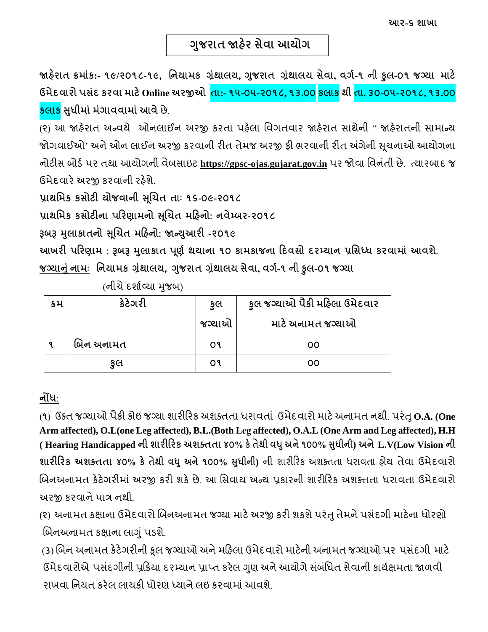જાહેરાત ક્રમાંક:- ૧૯/૨૦૧૮-૧૯, નિયામક ગ્રંથાલય, ગુજરાત ગ્રંથાલય સેવા, વર્ગ-૧ ની ફુલ-૦૧ જગ્યા માટે ઉમેદવારો પસંદ કરવા માટે Online અરજીઓ તા:- ૧૫-૦૫-૨૦૧૮, ૧૩.૦૦ <mark>કલાક થી તા. ૩૦-૦૫-૨૦૧૮, ૧૩.૦૦</mark> **કલાક સધુ ીમાાંમાંગાવવામાાંઆવે**છે.

(૨) આ જાહરે ાત અન્વયે ઓનલાઈન અરજી કરતા પહલે ા વવગતવાર જાહરે ાત સાથેની " જાહરે ાતની સામાન્ય જોગવાઈઓ<sup>,</sup> અને ઓન લાઈન અરજી કરવાની રીત તેમજ અરજી ફી ભરવાની રીત અંગેની સૂચનાઓ આયોગના નોટીસ બોર્ડપર તથા આયોગની વેબસાઇટ **https://gpsc-ojas.gujarat.gov.in** પર જોવા વવનતં ી છે. ત્યારબાદ જ ઉમેદવારે અરજી કરવાની રહેશે.

**પ્રાથનમક કસોટી યોજવાિી સ ૂચિત તાાઃ ૧૬-૦૯-૨૦૧૮**

પ્રાથમિક કસોટીના પરિણામનો સૂચિત મહિનો: નવેમ્બર-૨**૦૧**૮

**રૂબરૂ મલુ ાકાતિો સચૂિત મરહિો: જાન્યઆુ રી -૨૦૧૯**

**આખરી પરરણામ : રૂબરૂ મલુ ાકાત પણૂ ગથયાિા ૧૦ કામકાજિા રદવસો દરમ્યાિ પ્રનસધ્ધ કરવામાાં આવશે. જગ્યાનાંુિામાઃ નિયામક ગ્રાંથાલય, ગજુ રાત ગ્રથાં ાલય સેવા, વગગ-૧** ની **કુલ-૦૧ જગ્યા**

|      | $\cdots$ $\cdots$ $\cdots$ |        |                               |
|------|----------------------------|--------|-------------------------------|
| ક્રમ | કેટેગરી                    | કૂલ    | કૂલ જગ્યાઓ પૈકી મહિલા ઉમેદવાર |
|      |                            | જગ્યાઓ | માટે અનામત જગ્યાઓ             |
| a    | બિન અનામત                  | o٩     | 00                            |
|      | કુલ                        | ०१     | 00                            |

(નીચેદશાડવ્યા મજુ બ)

# **િોંધ**:

(૧) ઉક્ત જગ્યાઓ પૈકી કોઇ જગ્યા શારીરરક અશક્તતા ધરાવતા ં ઉમેદવારો માટેઅનામત નથી. પરંતુ**O.A. (One Arm affected), O.L(one Leg affected), B.L.(Both Leg affected), O.A.L (One Arm and Leg affected), H.H ( Hearing Handicapped િી શારીરરક અશક્તતા ૪૦% કેતેથી વધુઅિે૧૦૦% સધુ ીિી) અિેL.V(Low Vision િી શારીરરક અશક્તતા ૪૦% કે તેથી વધુઅિે૧૦૦% સધુ ીિી)** ની શારીરરક અશક્તતા ધરાવતા હોય તેવા ઉમેદવારો બિનઅનામત કેટેગરીમાં અરજી કરી શકે છે. આ સિવાય અન્ય પ્રકારની શારીરિક અશક્તતા ધરાવતા ઉમેદવારો અરજી કરવાનેપાત્ર નથી.

(૨) અનામત કક્ષાના ઉમેદવારો બિનઅનામત જગ્યા માટે અરજી કરી શકશે પરંતુ તેમને પસંદગી માટેના ધોરણો બિનઅનામત કક્ષાના લાગું પડશે.

(3) બિન અનામત કેટેગરીની કૂલ જગ્યાઓ અને મહિલા ઉમેદવારો માટેની અનામત જગ્યાઓ પર પસંદગી માટે ઉમેદવારોએ પસંદગીની પ્રક્રિયા દરમ્યાન પ્રાપ્ત કરેલ ગુણ અને આયોગે સંબંધિત સેવાની કાર્યક્ષમતા જાળવી રાખવા નિયત કરેલ લાયકી ધોરણ ધ્યાને લઇ કરવામાં આવશે.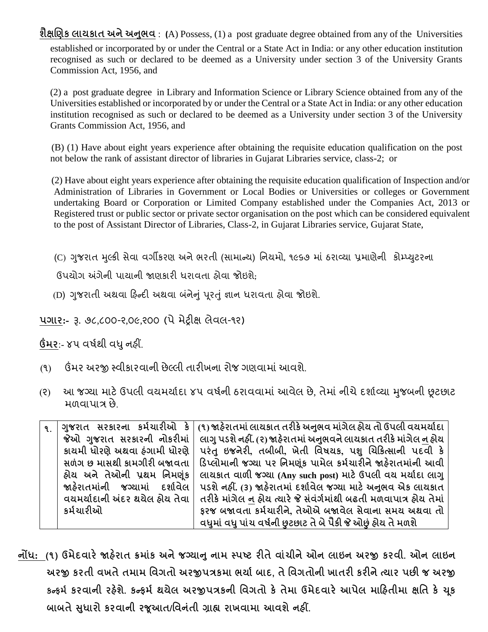**શૈક્ષચણક લાયકાત અિેઅનભુ વ** : **(**A) Possess, (1) a post graduate degree obtained from any of the Universities established or incorporated by or under the Central or a State Act in India: or any other education institution recognised as such or declared to be deemed as a University under section 3 of the University Grants Commission Act, 1956, and

(2) a post graduate degree in Library and Information Science or Library Science obtained from any of the Universities established or incorporated by or under the Central or a State Act in India: or any other education institution recognised as such or declared to be deemed as a University under section 3 of the University Grants Commission Act, 1956, and

 (B) (1) Have about eight years experience after obtaining the requisite education qualification on the post not below the rank of assistant director of libraries in Gujarat Libraries service, class-2; or

 (2) Have about eight years experience after obtaining the requisite education qualification of Inspection and/or Administration of Libraries in Government or Local Bodies or Universities or colleges or Government undertaking Board or Corporation or Limited Company established under the Companies Act, 2013 or Registered trust or public sector or private sector organisation on the post which can be considered equivalent to the post of Assistant Director of Libraries, Class-2, in Gujarat Libraries service, Gujarat State,

(C) ગજુ રાત મલ્ુકી સેવા વગીકરણ અનેભરતી (સામાન્ય) વનયમો, ૧૯૬૭ માં ઠરાવ્યા પ્રમાણેની કોમ્પ્યટુરના

ઉપયોગ અંગેની પાયાની જાણકારી ધરાવતા હોવા જોઇશ;ે

(D) ગુજરાતી અથવા ફિન્દી અથવા બંનેનું પુરતું જ્ઞાન ધરાવતા ફોવા જોઇશે.

**પગાર:-** રૂ. ૭૮,૮૦૦-૨,૦૯,૨૦૦ (પેમેટ્રીક્ષ લેવલ-૧૨)

**ઉંમર**:- ૪૫ વર્ડથી વધુનહીં.

- (૧) ઉંમર અરજી સ્વીકારવાની છેલ્લી તારીખના રોજ ગણવામાંઆવશે.
- (૨) આ જગ્યા માટે ઉપલી વયમર્યાદા ૪૫ વર્ષની ઠરાવવામાં આવેલ છે. તેમાં નીચે દર્શાવ્યા મુજબની છુટછાટ મળવાપાત્ર છે.

| $\mathbf{q}$ | ગુજરાત સરકારના કર્મચારીઓ કે             | (૧) જાહેરાતમાં લાયકાત તરીકે અનુભવ માંગેલ હોય તો ઉપલી વયમર્યાદા     |
|--------------|-----------------------------------------|--------------------------------------------------------------------|
|              | જેઓ ગુજરાત સરકારની નોકરીમાં             | લાગુ પડશે નહીં. (૨) જાહેરાતમાં અનુભવને લાયકાત તરીકે માંગેલ ન હોય   |
|              | કાચમી ધોરણે અથવા ઠંગામી ધોરણે           | પરંતુ ઇજનેરી, તબીબી, ખેતી વિષયક, પશુ ચિકિત્સાની પદવી કે            |
|              | સળંગ છ માસથી કામગીરી બજાવતા             | ડિપ્લોમાની જગ્યા પર નિમણુંક પામેલ કર્મચારીને જાહેરાતમાંની આવી      |
|              | હ્રોય અને તેઓની પ્રથમ નિમણંક            | લાયકાત વાળી જગ્યા (Any such post) માટે ઉપલી વય મર્યાદા લાગુ        |
|              | જાહેરાતમાંની જગ્યામાં દર્શાવેલ <b> </b> | પડશે નહીં. (3) જાહેરાતમાં દર્શાવેલ જગ્યા માટે અનુભવ એક લાયકાત      |
|              | વયમર્યાદાની અંદર થયેલ ઠોય તેવા          | તરીકે માંગેલ ન હોય ત્યારે જે સંવંર્ગમાંથી બઢતી મળવાપાત્ર હોય તેમાં |
|              | કર્મચારીઓ                               | ફરજ બજાવતા કર્મચારીને, તેઓએ બજાવેલ સેવાના સમય અથવા તો              |
|              |                                         | વધુમાં વધુ પાંચ વર્ષની છુટછાટ તે બે પૈકી જે ઓછું હોય તે મળશે       |

**િોંધ: (૧) ઉમેદવારેજાહરે ાત ક્રમાકાં અિેજગ્યાનુિામ સ્પષ્ટ રીતેવાિાં ીિેઓિ લાઇિ અરજી કરવી. ઓિ લાઇિ અરજી કરતી વખતેતમામ નવગતો અરજીપત્રકમા ભયાગબાદ, તેનવગતોિી ખાતરી કરીિેત્યાર પછી જ અરજી કન્ફમગ કરવાિી રહશે ે. કન્ફમગ થયેલ અરજીપત્રકિી નવગતો કેતેમા ઉમેદવારેઆપેલ મારહતીમા ક્ષનત કે ચકૂ બાબતેસધુ ારો કરવાિી રજૂઆત/નવિતાં ી ગ્રાહ્ય રાખવામા આવશેિહીં.**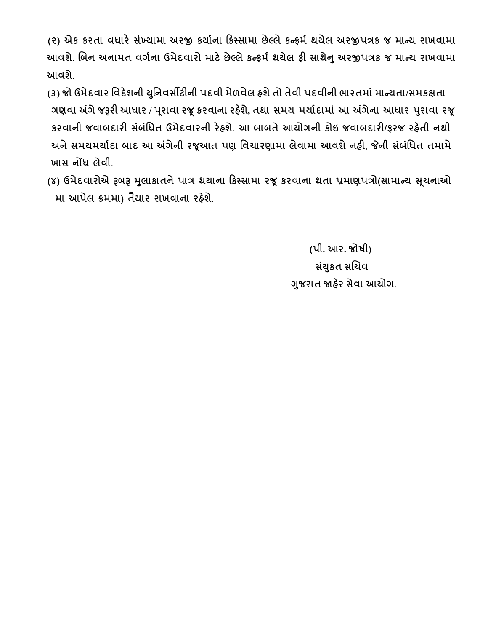**(૨) એક કરતા વધારે સખ્ાં યામા અરજી કયાગિા રકસ્સામા છેલ્લેકન્ફમગ થયેલ અરજીપત્રક જ માન્ય રાખવામા આવશે. ચબિ અિામત વગગિા ઉમેદવારો માટેછેલ્લેકન્ફમગથયેલ ફી સાથેનુઅરજીપત્રક જ માન્ય રાખવામા આવશે.**

- **(૩) જો ઉમેદવાર નવદેશિી યનુિવસીટીિી પદવી મેળવેલ હશેતો તેવી પદવીિી ભારતમાાંમાન્યતા/સમકક્ષતા ગણવા અંગેજરૂરી આધાર / પ ૂરાવા રજૂકરવાિા રહશે ે, તથા સમય મયાગદામાાં આ અંગેિા આધાર પરુાવા રજૂ કરવાિી જવાબદારી સબાં નાંધત ઉમેદવારિી રેહશે. આ બાબતેઆયોગિી કોઇ જવાબદારી/ફરજ રહતે ી િથી અિેસમયમયાગદા બાદ આ અંગેિી રજૂઆત પણ નવિારણામા લેવામા આવશેિહી, જેિી સબાં નાંધત તમામે ખાસ િોંધ લેવી.**
- **(૪) ઉમેદવારોએ રૂબરૂ મલુ ાકાતિેપાત્ર થયાિા રકસ્સામા રજૂકરવાિા થતા પ્રમાણપત્રો(સામાન્ય સિૂ િાઓ મા આપેલ ક્રમમા) તૈયાર રાખવાિા રહશે ે.**

 **(પી. આર. જોષી) સયાં કુત સચિવ ગજુ રાત જાહરે સેવા આયોગ.**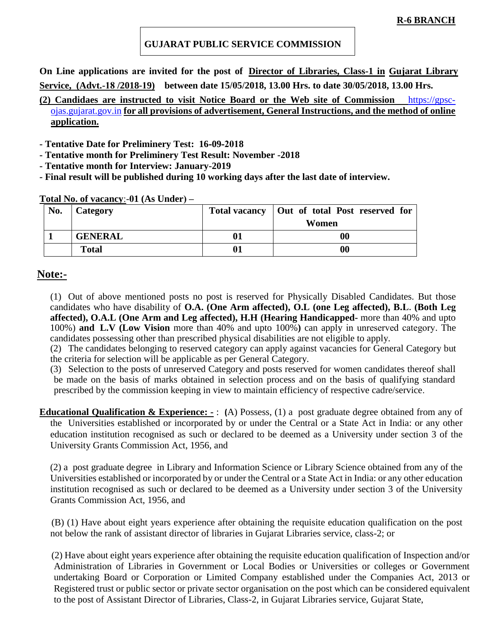#### **GUJARAT PUBLIC SERVICE COMMISSION**

**On Line applications are invited for the post of Director of Libraries, Class-1 in Gujarat Library Service, (Advt.-18 /2018-19) between date 15/05/2018, 13.00 Hrs. to date 30/05/2018, 13.00 Hrs.** 

#### **(2) Candidaes are instructed to visit Notice Board or the Web site of Commission** [https://gpsc](https://gpsc-ojas.gujarat.gov.in/)[ojas.gujarat.gov.in](https://gpsc-ojas.gujarat.gov.in/) **for all provisions of advertisement, General Instructions, and the method of online application.**

**- Tentative Date for Preliminery Test: 16-09-2018**

- **- Tentative month for Preliminery Test Result: November -2018**
- **- Tentative month for Interview: January-2019**
- **- Final result will be published during 10 working days after the last date of interview.**

|  | <u>Total No. of vacancy:</u> -01 (As Under) – |
|--|-----------------------------------------------|
|  |                                               |

| No. | Category       | <b>Total vacancy</b> | Out of total Post reserved for |
|-----|----------------|----------------------|--------------------------------|
|     |                |                      | Women                          |
|     | <b>GENERAL</b> |                      | 00                             |
|     | <b>Total</b>   |                      | 00                             |

#### **Note:-**

(1) Out of above mentioned posts no post is reserved for Physically Disabled Candidates. But those candidates who have disability of **O.A. (One Arm affected), O.L (one Leg affected), B.L. (Both Leg affected), O.A.L (One Arm and Leg affected), H.H (Hearing Handicapped-** more than 40% and upto 100%) **and L.V (Low Vision** more than 40% and upto 100%**)** can apply in unreserved category. The candidates possessing other than prescribed physical disabilities are not eligible to apply.

(2) The candidates belonging to reserved category can apply against vacancies for General Category but the criteria for selection will be applicable as per General Category.

(3) Selection to the posts of unreserved Category and posts reserved for women candidates thereof shall be made on the basis of marks obtained in selection process and on the basis of qualifying standard prescribed by the commission keeping in view to maintain efficiency of respective cadre/service.

**Educational Qualification & Experience: -** : **(**A) Possess, (1) a post graduate degree obtained from any of the Universities established or incorporated by or under the Central or a State Act in India: or any other education institution recognised as such or declared to be deemed as a University under section 3 of the University Grants Commission Act, 1956, and

(2) a post graduate degree in Library and Information Science or Library Science obtained from any of the Universities established or incorporated by or under the Central or a State Act in India: or any other education institution recognised as such or declared to be deemed as a University under section 3 of the University Grants Commission Act, 1956, and

 (B) (1) Have about eight years experience after obtaining the requisite education qualification on the post not below the rank of assistant director of libraries in Gujarat Libraries service, class-2; or

 (2) Have about eight years experience after obtaining the requisite education qualification of Inspection and/or Administration of Libraries in Government or Local Bodies or Universities or colleges or Government undertaking Board or Corporation or Limited Company established under the Companies Act, 2013 or Registered trust or public sector or private sector organisation on the post which can be considered equivalent to the post of Assistant Director of Libraries, Class-2, in Gujarat Libraries service, Gujarat State,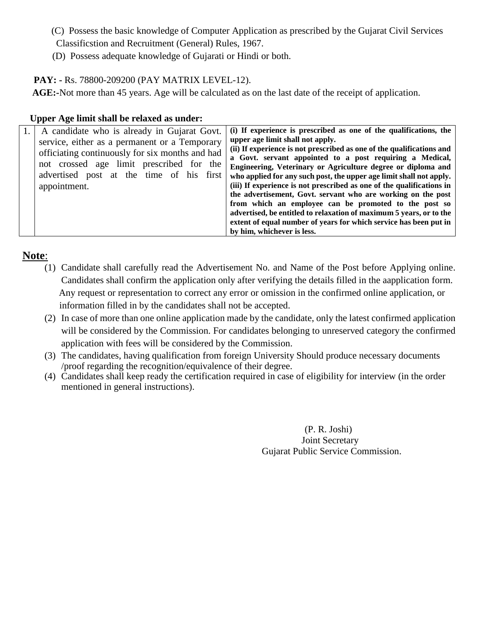- (C) Possess the basic knowledge of Computer Application as prescribed by the Gujarat Civil Services Classificstion and Recruitment (General) Rules, 1967.
- (D) Possess adequate knowledge of Gujarati or Hindi or both.

#### **PAY: -** Rs. 78800-209200 (PAY MATRIX LEVEL-12).

 **AGE:-**Not more than 45 years. Age will be calculated as on the last date of the receipt of application.

#### **Upper Age limit shall be relaxed as under:**

| A candidate who is already in Gujarat Govt.                                                                                                                                              | (i) If experience is prescribed as one of the qualifications, the                                                                                                                                                                                                                                                                                                        |
|------------------------------------------------------------------------------------------------------------------------------------------------------------------------------------------|--------------------------------------------------------------------------------------------------------------------------------------------------------------------------------------------------------------------------------------------------------------------------------------------------------------------------------------------------------------------------|
| service, either as a permanent or a Temporary<br>officiating continuously for six months and had<br>not crossed age limit prescribed for the<br>advertised post at the time of his first | upper age limit shall not apply.<br>(ii) If experience is not prescribed as one of the qualifications and<br>a Govt. servant appointed to a post requiring a Medical,<br>Engineering, Veterinary or Agriculture degree or diploma and<br>who applied for any such post, the upper age limit shall not apply.                                                             |
| appointment.                                                                                                                                                                             | (iii) If experience is not prescribed as one of the qualifications in<br>the advertisement, Govt. servant who are working on the post<br>from which an employee can be promoted to the post so<br>advertised, be entitled to relaxation of maximum 5 years, or to the<br>extent of equal number of years for which service has been put in<br>by him, whichever is less. |

# **Note**:

- (1) Candidate shall carefully read the Advertisement No. and Name of the Post before Applying online. Candidates shall confirm the application only after verifying the details filled in the aapplication form. Any request or representation to correct any error or omission in the confirmed online application, or information filled in by the candidates shall not be accepted.
- (2) In case of more than one online application made by the candidate, only the latest confirmed application will be considered by the Commission. For candidates belonging to unreserved category the confirmed application with fees will be considered by the Commission.
- (3) The candidates, having qualification from foreign University Should produce necessary documents /proof regarding the recognition/equivalence of their degree.
- (4) Candidates shall keep ready the certification required in case of eligibility for interview (in the order mentioned in general instructions).

 (P. R. Joshi) Joint Secretary Gujarat Public Service Commission.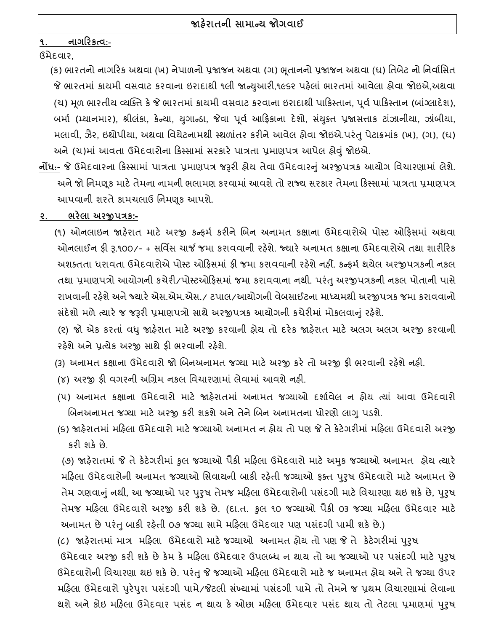## **૧. િાગરરકત્વ:-**

ઉમેદવાર,

(ક) ભારતનો નાગરિક અથવા (ખ) નેપાળનો પ્રજાજન અથવા (ગ) ભૂતાનનો પ્રજાજન અથવા (ધ) તિબેટ નો નિર્વાસિત જે ભારતમાં કાયમી વસવાટ કરવાના ઇરાદાથી ૧લી જાન્યુઆરી,૧૯૬૨ પહેલાં ભારતમાં આવેલા હોવા જોઇએ,અથવા (ચ) મૂળ ભારતીય વ્યક્તિ કે જે ભારતમાં કાયમી વસવાટ કરવાના ઇરાદાથી પાકિસ્તાન, પૂર્વ પાકિસ્તાન (બાંગ્લાદેશ), બર્મા (મ્યાનમાર), શ્રીલંકા, કેન્યા, યુગાન્ડા, જેવા પૂર્વ આફ્રિકાના દેશો, સંયુક્ત પ્રજાસત્તાક ટાંઝાનીયા, ઝાંબીયા, મલાવી, ઝૈર, ઇથોપીયા, અથવા વિચેટનામથી સ્થળાંતર કરીને આવેલ હોવા જોઇએ.પરંતુ પેટાક્રમાંક (ખ), (ગ), (ધ) અને(ચ)માં આવતા ઉમેદવારોના રકસ્સામાં સરકારેપાત્રતા પ્રમાણપત્ર આપેલ હોવું જોઇએ.

- **િોંધ**:- જે ઉમેદવારના રકસ્સામાં પાત્રતા પ્રમાણપત્ર જરૂરી હોય તેવા ઉમેદવારનું અરજીપત્રક આયોગ વવચારણામાં લેશે. અને જો નિમણૂક માટે તેમના નામની ભલામણ કરવામાં આવશે તો રાજ્ય સરકાર તેમના કિસ્સામાં પાત્રતા પ્રમાણપત્ર આપવાની શરતેકામચલાઉ વનમણકૂ આપશે.
- **૨. ભરેલા અરજીપત્રક:-**
	- (૧) ઓનલાઇન જાહેરાત માટે અરજી કન્ફર્મ કરીને બિન અનામત કક્ષાના ઉમેદવારોએ પોસ્ટ ઓફિસમાં અથવા ઓનલાઈન ફી રૂ.૧૦૦/- + સર્વિસ ચાર્જ જમા કરાવવાની રહેશે. જ્યારે અનામત કક્ષાના ઉમેદવારોએ તથા શારીરિક અશક્તતા ધરાવતા ઉમેદવારોએ પોસ્ટ ઓફિસમાં ફી જમા કરાવવાની રફેશે નફીં. કન્ફર્મ થયેલ અરજીપત્રકની નકલ તથા પ્રમાણપત્રો આયોગની કચેરી/પોસ્ટઓરફસમાં જમા કરાવવાના નથી. પરંતુઅરજીપત્રકની નકલ પોતાની પાસે રાખવાની રહેશે અને જ્યારે એસ.એમ.એસ./ ટપાલ/આયોગની વેબસાઈટના માધ્યમથી અરજીપત્રક જમા કરાવવાનો સંદેશો મળે ત્યારે જ જરૂરી પ્રમાણપત્રો સાથે અરજીપત્રક આયોગની કચેરીમાં મોકલવાનું રહેશે.

(૨) જો એક કરતાં વધુજાહરે ાત માટે અરજી કરવાની હોય તો દરેક જાહરે ાત માટે અલગ અલગ અરજી કરવાની રહેશે અને પ્રત્યેક અરજી સાથે ફી ભરવાની રહેશે.

- (૩) અનામત કક્ષાના ઉમેદવારો જો બિનઅનામત જગ્યા માટે અરજી કરે તો અરજી ફી ભરવાની રહેશે નહી.
- (૪) અરજી ફી વગરની અબિમ નકલ વવચારણામાં લેવામાં આવશેનહી.
- (૫) અનામત કક્ષાના ઉમદેવારો માટે જાહરે ાતમાં અનામત જગ્યાઓ દશાડવલે ન હોય ત્યાં આવા ઉમેદવારો બિનઅનામત જગ્યા માટે અરજી કરી શકશે અને તેને બિન અનામતના ધોરણો લાગુ પડશે.
- (૬) જાહરે ાતમાં મરહલા ઉમદેવારો માટેજગ્યાઓ અનામત ન હોય તો પણ જે તેકેટેગરીમાં મરહલા ઉમેદવારો અરજી કરી શકેછે.

 (૭) જાહરે ાતમાં જે તેકેટેગરીમાં કુલ જગ્યાઓ પૈકી મરહલા ઉમેદવારો માટે અમકુ જગ્યાઓ અનામત હોય ત્યારે મફિલા ઉમેદવારોની અનામત જગ્યાઓ સિવાયની બાકી રફેતી જગ્યાઓ ફક્ત પુરુષ ઉમેદવારો માટે અનામત છે તેમ ગણવાનું નથી, આ જગ્યાઓ પર પુરુષ તેમજ મહિલા ઉમેદવારોની પસંદગી માટે વિચારણા થઇ શકે છે, પુરુષ તેમજ મરહલા ઉમેદવારો અરજી કરી શકે છે. (દા.ત. કુલ ૧૦ જગ્યાઓ પૈકી ૦૩ જગ્યા મરહલા ઉમેદવાર માટે અનામત છે પરંતુ બાકી રહેતી ૦૭ જગ્યા સામે મહિલા ઉમેદવાર પણ પસંદગી પામી શકે છે.)

(૮) જાહરે ાતમાં માત્ર મરહલા ઉમેદવારો માટેજગ્યાઓ અનામત હોય તો પણ જે તે કેટેગરીમાં પરુુર્ ઉમેદવાર અરજી કરી શકે છે કેમ કે મહિલા ઉમેદવાર ઉપલબ્ધ ન થાય તો આ જગ્યાઓ પર પસંદગી માટે પુરુષ ઉમેદવારોની વવચારણા થઇ શકેછે. પરંતુજે જગ્યાઓ મરહલા ઉમેદવારો માટેજ અનામત હોય અનેતેજગ્યા ઉપર મહિલા ઉમેદવારો પુરેપુરા પસંદગી પામે/જેટલી સંખ્યામાં પસંદગી પામે તો તેમને જ પ્રથમ વિચારણામાં લેવાના થશે અને કોઇ મહિલા ઉમેદવાર પસંદ ન થાય કે ઓછા મહિલા ઉમેદવાર પસંદ થાય તો તેટલા પ્રમાણમાં પુરુષ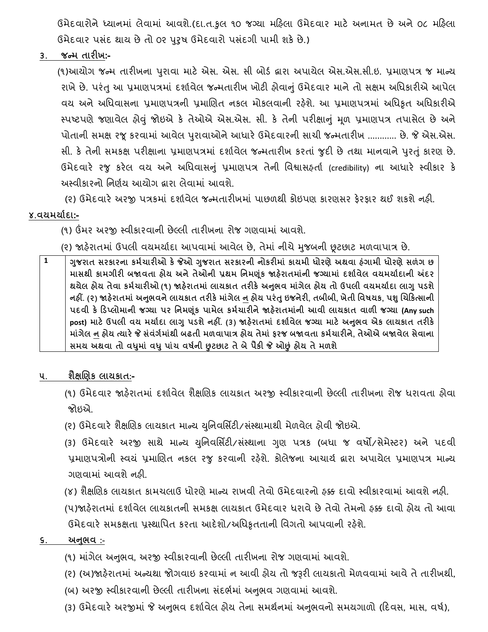ઉમેદવારોને ધ્યાનમાં લેવામાં આવશે.(દા.ત.કુલ ૧૦ જગ્યા મરિલા ઉમેદવાર માટે અનામત છે અને ૦૮ મરિલા ઉમેદવાર પસંદ થાય છે તો ૦૨ પુરૂષ ઉમેદવારો પસંદગી પામી શકે છે.)

**૩. જન્મ તારીખ:-**

(૧)આયોગ જન્મ તારીખના પરુાવા માટે એસ. એસ. સી બોર્ડ દ્વારા અપાયેલ એસ.એસ.સી.ઇ. પ્રમાણપત્ર જ માન્ય રાખે છે. પરંતુ આ પ્રમાણપત્રમાં દર્શાવેલ જન્મતારીખ ખોટી હોવાનું ઉમેદવાર માને તો સક્ષમ અધિકારીએ આપેલ વય અને અધિવાસના પ્રમાણપત્રની પ્રમાણિત નકલ મોકલવાની રફેશે. આ પ્રમાણપત્રમાં અધિકૃત અધિકારીએ સ્પષ્ટપણેજણાવેલ હોવું જોઇએ કે તેઓએ એસ.એસ. સી. કે તેની પરીક્ષાનું મળૂ પ્રમાણપત્ર તપાસેલ છેઅને પોતાની સમક્ષ રજૂકરવામાં આવલે પરુાવાઓનેઆધારેઉમેદવારની સાચી જન્મતારીખ ............ છે. જે એસ.એસ. સી. કે તેની સમકક્ષ પરીક્ષાના પ્રમાણપત્રમાં દશાડવેલ જન્મતારીખ કરતાં જુદી છેતથા માનવાનેપરુતું કારણ છે. ઉમેદવારે રજુ કરેલ વય અને અધિવાસનું પ્રમાણપત્ર તેની વિશ્વાસહ્**તાં (credibility) ના આધારે સ્વીકાર** કે અસ્વીકારનો વનણડય આયોગ દ્વારા લેવામાં આવશે.

(૨) ઉમેદવારે અરજી પત્રકમાં દર્શાવેલ જન્મતારીખમાં પાછળથી કોઇપણ કારણસર ફેરફાર થઈ શકશે નહી.

#### **૪.વયમયાગદા:-**

(૧) ઉંમર અરજી સ્વીકારવાની છેલ્લી તારીખના રોજ ગણવામાં આવશે.

- (૨) જાહરે ાતમાં ઉપલી વયમયાડદા આપવામાં આવલે છે, તેમાં નીચેમજુ બની છૂટછાટ મળવાપાત્ર છે.
- **1 ગજુ રાત સરકારિા કમગિારીઓ કેજેઓ ગજુ રાત સરકારિી િોકરીમાાં કાયમી ધોરણેઅથવા હાંગામી ધોરણેસળાંગ છ માસથી કામગીરી બજાવતા હોય અિેતેઓિી પ્રથમ નિમણ ૂાંક જાહેરાતમાાંિી જગ્યામાાં દશાગવેલ વયમયાગદાિી અંદર થયેલ હોય તેવા કમગિારીઓ (૧) જાહેરાતમાાં લાયકાત તરીકેઅનભુ વ માાંગેલ હોય તો ઉપલી વયમયાગદા લાગુપડશે િહીં. (૨) જાહેરાતમાાં અનભુ વિેલાયકાત તરીકેમાાંગેલ િ હોય પરાંતુઇજિેરી, તબીબી, ખેતી નવષયક, પશુચિરકત્સાિી પદવી કે રડપ્લોમાિી જગ્યા પર નિમણ ૂાંક પામેલ કમગિારીિેજાહેરાતમાાંિી આવી લાયકાત વાળી જગ્યા (Any such post) માટેઉપલી વય મયાગદા લાગુપડશેિહીં. (૩) જાહેરાતમાાં દશાગવેલ જગ્યા માટે અનભુ વ એક લાયકાત તરીકે માગાં ેલ િ હોય ત્યારેજે સાંવાંગગમાાંથી બઢતી મળવાપાત્ર હોય તેમાાં ફરજ બજાવતા કમગિારીિે, તેઓએ બજાવેલ સેવાિા સમય અથવા તો વધમુ ાાં વધુપાાંિ વષગિી છુટછાટ તેબેપૈકી જે ઓછુાં હોય તેમળશે**
- **૫. શૈક્ષચણક લાયકાત:-**
	- (૧) ઉમેદવાર જાહરે ાતમાં દશાડવેલ શૈક્ષબણક લાયકાત અરજી સ્વીકારવાની છેલ્લી તારીખના રોજ ધરાવતા હોવા જોઇએ.
	- (૨) ઉમેદવારે શૈક્ષણિક લાયકાત માન્ય યુનિવર્સિટી/સંસ્થામાથી મેળવેલ હોવી જોઇએ.
	- (૩) ઉમેદવારે અરજી સાથે માન્ય યવુનવવસિટી/સસ્ં થાના ગણુ પત્રક (બધા જ વર્ો/સેમેસ્ટર) અને પદવી પ્રમાણપત્રોની સ્વયં પ્રમાણિત નકલ રજુ કરવાની રહેશે. કોલેજના આચાર્ય દ્વારા અપાચેલ પ્રમાણપત્ર માન્ય ગણવામાં આવશેનહી.

(૪) શૈક્ષણિક લાયકાત કામચલાઉ ધોરણે માન્ય રાખવી તેવો ઉમેદવારનો ફક્ક દાવો સ્વીકારવામાં આવશે નફી. (૫)જાહેરાતમાં દર્શાવેલ લાયકાતની સમકક્ષ લાયકાત ઉમેદવાર ધરાવે છે તેવો તેમનો ફક્ક દાવો હોય તો આવા ઉમેદવારે સમકક્ષતા પ્રસ્થાપિત કરતા આદેશો/અધિકૃતતાની વિગતો આપવાની રહેશે.

#### **૬. અનભુ વ :-**

- (૧) માંગેલ અનુભવ, અરજી સ્વીકારવાની છેલ્લી તારીખના રોજ ગણવામાં આવશે.
- (૨) (અ)જાહરે ાતમાં અન્યથા જોગવાઇ કરવામાં ન આવી હોય તો જરૂરી લાયકાતો મળે વવામાં આવેતેતારીખથી,
- (બ) અરજી સ્વીકારવાની છેલ્લી તારીખના સંદર્ભમાં અનુભવ ગણવામાં આવશે.
- (3) ઉમેદવારે અરજીમાં જે અનુભવ દર્શાવેલ હોય તેના સમર્થનમાં અનુભવનો સમયગાળો (દિવસ, માસ, વર્ષ),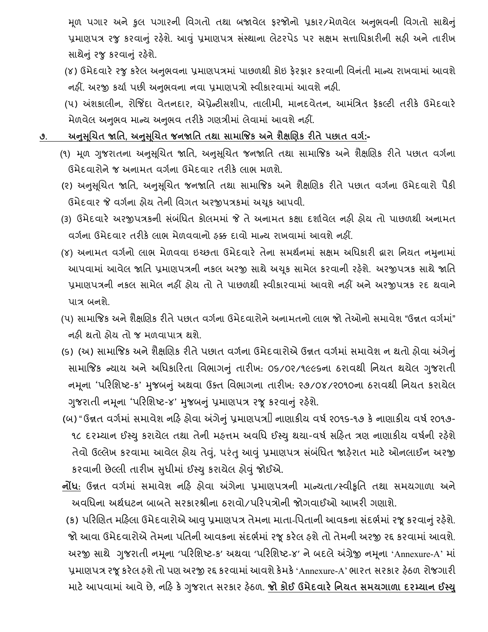મૂળ પગાર અને કુલ પગારની વિગતો તથા બજાવેલ ફરજોનો પ્રકાર/મેળવેલ અનુભવની વિગતો સાથેનું પ્રમાણપત્ર રજુ કરવાનું રહેશે. આવું પ્રમાણપત્ર સંસ્થાના લેટરપેડ પર સક્ષમ સત્તાધિકારીની સહી અને તારીખ સાથેનું રજુ કરવાનું રહેશે.

(૪) ઉમેદવારે રજુ કરેલ અનુભવના પ્રમાણપત્રમાં પાછળથી કોઇ ફેરફાર કરવાની વિનંતી માન્ય રાખવામાં આવશે નહીં. અરજી કર્યા પછી અનુભવના નવા પ્રમાણપત્રો સ્વીકારવામાં આવશે નહી.

(૫) અંશકાલીન, રોજિંદા વેતનદાર, એપ્રેન્ટીસશીપ, તાલીમી, માનદવેતન, આમંત્રિત ફૅકલ્ટી તરીકે ઉમેદવારે મેળવેલ અનુભવ માન્ય અનુભવ તરીકે ગણત્રીમાં લેવામાં આવશે નહીં.

- **૭. અનસુ ચૂિત જાનત, અનસુ ચૂિત જિજાનત તથા સામાજજક અિેશૈક્ષચણક રીતેપછાત વગગ:-**
	- (૧) મૂળ ગુજરાતના અનુસૂચિત જાતિ, અનુસૂચિત જનજાતિ તથા સામાજિક અને શૈક્ષણિક રીતે પછાત વર્ગના ઉમેદવારોનેજ અનામત વગડના ઉમેદવાર તરીકેલાભ મળશે.
	- (૨) અનુસૂચિત જાતિ, અનુસૂચિત જનજાતિ તથા સામાજિક અને શૈક્ષણિક રીતે પછાત વર્ગના ઉમેદવારો પૈકી ઉમેદવાર જે વગડના હોય તને ી વવગત અરજીપત્રકમાં અચકૂ આપવી.
	- (3) ઉમેદવારે અરજીપત્રકની સંબંધિત કોલમમાં જે તે અનામત કક્ષા દર્શાવેલ નહી હોય તો પાછળથી અનામત વગડના ઉમેદવાર તરીકેલાભ મેળવવાનો હક્ક દાવો માન્ય રાખવામાં આવશેનહીં.
	- (૪) અનામત વર્ગનો લાભ મેળવવા ઇચ્છતા ઉમેદવારે તેના સમર્થનમાં સક્ષમ અધિકારી દ્વારા નિયત નમુનામાં આપવામાં આવેલ જાતિ પ્રમાણપત્રની નકલ અરજી સાથે અચક સામેલ કરવાની રહેશે. અરજીપત્રક સાથે જાતિ પ્રમાણપત્રની નકલ સામેલ નહીં હોય તો તેપાછળથી સ્વીકારવામાં આવશેનહીં અનેઅરજીપત્રક રદ થવાને પાત્ર બનશે.
	- (૫) સામાજિક અને શૈક્ષણિક રીતે પછાત વર્ગના ઉમેદવારોને અનામતનો લાભ જો તેઓનો સમાવેશ "ઉન્નત વર્ગમાં" નહી થતો હોય તો જ મળવાપાત્ર થશે.
	- (૬) (અ) સામાજજક અનેશૈક્ષબણક રીતેપછાત વગડના ઉમેદવારોએ ઉન્નત વગડમાં સમાવેશ ન થતો હોવા અંગેનું સામાજિક ન્યાય અને અધિકારિતા વિભાગનું તારીખ: 09/0ર/૧૯૯૬ના ઠરાવથી નિયત થયેલ ગુજરાતી નમૂના 'પરિશિષ્ટ-ક' મુજબનું અથવા ઉક્ત વિભાગના તારીખ: ૨૭/૦૪/૨૦૧૦ના ઠરાવથી નિયત કરાયેલ ગુજરાતી નમૂના 'પરિશિષ્ટ-૪' મુજબનું પ્રમાણપત્ર રજૂ કરવાનું રહેશે.
	- (બ) " ઉન્નત વર્ગમાં સમાવેશ નહિ હોવા અંગેનું પ્રમાણપત્ર $\mathbb I$  નાણાકીય વર્ષ ૨૦૧૬-૧૭ કે નાણાકીય વર્ષ ૨૦૧૭-૧૮ દરમ્યાન ઈસ્યુ કરાયેલ તથા તેની મહત્તમ અવધિ ઈસ્યુ થયા-વર્ષ સહિત ત્રણ નાણાકીય વર્ષની રહેશે તેવો ઉલ્લેખ કરવામા આવેલ હોય તેવું, પરંતુ આવું પ્રમાણપત્ર સંબંધિત જાહેરાત માટે ઓનલાઈન અરજી કરવાની છેલ્લી તારીખ સુધીમાં ઈસ્યુ કરાયેલ હોવું જોઈએ.
	- **િોંધ**: ઉન્નત વગડમાં સમાવેશ નરહ હોવા અંગેના પ્રમાણપત્રની માન્યતા/સ્વીકૃવત તથા સમયગાળા અને અવવધના અથડઘટન બાબતેસરકારશ્રીના ઠરાવો/પરરપત્રોની જોગવાઈઓ આખરી ગણાશે.

(ક) પરિણિત મહિલા ઉમેદવારોએ આવુ પ્રમાણપત્ર તેમના માતા-પિતાની આવકના સંદર્ભમાં રજૂ કરવાનું રહેશે. જો આવા ઉમેદવારોએ તેમના પતિની આવકના સંદર્ભમાં રજૂ કરેલ ફશે તો તેમની અરજી રદ્દ કરવામાં આવશે. અરજી સાથે ગુજરાતી નમૂના 'પરિશિષ્ટ-ક' અથવા 'પરિશિષ્ટ-૪' ને બદલે અંગ્રેજી નમૂના 'Annexure-A' માં પ્રમાણપત્ર રજૂકરેલ હશેતો પણ અરજી રદ્દ કરવામાંઆવશેકેમકે'Annexure-A' ભારત સરકાર હેઠળ રોજગારી માટેઆપવામાંઆવેછે, નરહ કેગજુ રાત સરકાર હઠે ળ. **જો કોઈ ઉમેદવારેનિયત સમયગાળા દરમ્યાિ ઈસ્યુ**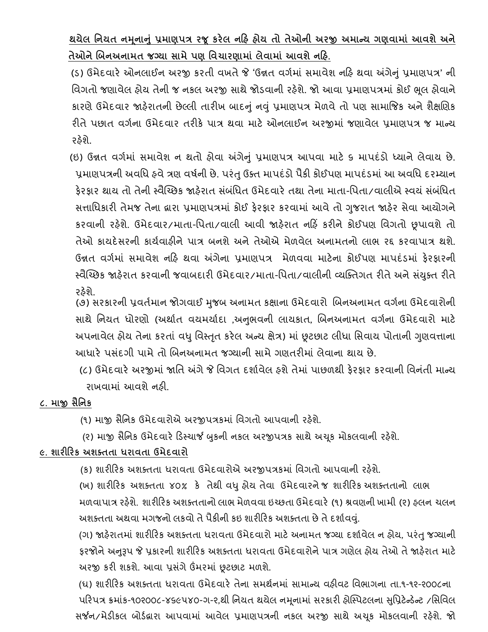**થયેલ નિયત િમિૂ ાનુાં પ્રમાણપત્ર રજૂકરેલ િરહ હોય તો તેઓિી અરજી અમાન્ય ગણવામાાં આવશેઅિે તેઓિેચબિઅિામત જગ્યા સામેપણ નવિારણામાાં લેવામાાં આવશેિરહ.**

 (ર્) ઉમેદવારે ઓનલાઈન અરજી કરતી વખતે જે 'ઉન્નત વગડમાં સમાવેશ નરહ થવા અંગેનું પ્રમાણપત્ર' ની વિગતો જણાવેલ હોય તેની જ નકલ અરજી સાથે જોડવાની રહેશે. જો આવા પ્રમાણપત્રમાં કોઈ ભૂલ હોવાને કારણે ઉમેદવાર જાહેરાતની છેલ્લી તારીખ બાદનું નવું પ્રમાણપત્ર મેળવે તો પણ સામાજિક અને શૈક્ષણિક રીતે પછાત વર્ગના ઉમેદવાર તરીકે પાત્ર થવા માટે ઓનલાઈન અરજીમાં જણાવેલ પ્રમાણપત્ર જ માન્ય રહેશે.

(ઇ) ઉન્નત વર્ગમાં સમાવેશ ન થતો હોવા અંગેનું પ્રમાણપત્ર આપવા માટે ૬ માપદંડો ધ્યાને લેવાય છે. પ્રમાણપત્રની અવધિ હવે ત્રણ વર્ષની છે. પરંતુ ઉક્ત માપદંડો પૈકી કોઈપણ માપદંડમાં આ અવધિ દરમ્યાન કેરકાર થાય તો તેની સ્વૈચ્છિક જાહેરાત સંબંધિત ઉમેદવારે તથા તેના માતા-પિતા/વાલીએ સ્વયં સંબંધિત સત્તાવધકારી તેમજ તેના દ્વારા પ્રમાણપત્રમાં કોઈ ફેરફાર કરવામાં આવેતો ગજુ રાત જાહરે સેવા આયોગને કરવાની રહેશે. ઉમેદવાર/માતા-વપતા/વાલી આવી જાહેરાત નરહિં કરીને કોઈપણ વવગતો છૂપાવશે તો તેઓ કાયદેસરની કાર્યવાઠીને પાત્ર બનશે અને તેઓએ મેળવેલ અનામતનો લાભ રદ્દ કરવાપાત્ર થશે. ઉન્નત વગડમાં સમાવેશ નરહ થવા અંગેના પ્રમાણપત્ર મેળવવા માટેના કોઈપણ માપદંર્માં ફેરફારની સ્વૈચ્ચ્છક જાહેરાત કરવાની જવાબદારી ઉમેદવાર/માતા-વપતા/વાલીની વ્યક્ક્તગત રીતેઅનેસયં ક્ુત રીતે રહેશે.

(૭) સરકારની પ્રવર્તમાન જોગવાઈ મુજબ અનામત કક્ષાના ઉમેદવારો બિનઅનામત વર્ગના ઉમેદવારોની સાથે નિયત ધોરણો (અર્થાત વયમર્યાદા ,અનુભવની લાયકાત, બિનઅનામત વર્ગના ઉમેદવારો માટે અપનાવેલ હોય તેના કરતાં વધુ વિસ્તૃત કરેલ અન્ય ક્ષેત્ર) માં છૂટછાટ લીધા સિવાય પોતાની ગુણવત્તાના આધારે પસંદગી પામે તો બિનઅનામત જગ્યાની સામે ગણતરીમાં લેવાના થાય છે.

(૮) ઉમેદવારે અરજીમાં જાતિ અંગે જે વિગત દર્શાવેલ ફશે તેમાં પાછળથી ફેરફાર કરવાની વિનંતી માન્ય રાખવામાં આવશેનહી.

### **૮. માજી સૈનિક**

(૧) માજી સૈનિક ઉમેદવારોએ અરજીપત્રકમાં વિગતો આપવાની રહેશે.

(૨) માજી સૈનિક ઉમેદવારે ડિસ્ચાર્જ બુકની નકલ અરજીપત્રક સાથે અચૂક મોકલવાની રહેશે.

### **૯. શારીરરક અશક્તતા ધરાવતા ઉમેદવારો**

(ક) શારીરિક અશક્તતા ધરાવતા ઉમેદવારોએ અરજીપત્રકમાં વિગતો આપવાની રહેશે.

(ખ) શારીરિક અશક્તતા ૪૦% કે તેથી વધુ હોય તેવા ઉમેદવારને જ શારીરિક અશક્તતાનો લાભ મળવાપાત્ર રહેશે. શારીરિક અશક્તતાનો લાભ મેળવવા ઇચ્છતા ઉમેદવારે (૧) શ્રવણની ખામી (૨) હલન ચલન અશક્તતા અથવા મગજનો લકવો તે પૈકીની કઇ શારીરિક અશક્તતા છે તે દર્શાવવં.

(ગ) જાહેરાતમાં શારીરિક અશક્તતા ધરાવતા ઉમેદવારો માટે અનામત જગ્યા દર્શાવેલ ન હોય, પરંતુ જગ્યાની ફરજોને અનુરૂપ જે પ્રકારની શારીરિક અશક્તતા ધરાવતા ઉમેદવારોને પાત્ર ગણેલ હોય તેઓે તે જાહેરાત માટે અરજી કરી શકશે. આવા પ્રસંગે ઉંમરમાં છૂટછાટ મળશે.

(ઘ) શારીરરક અશક્તતા ધરાવતા ઉમેદવારેતેના સમથડનમાં સામાન્ય વહીવટ વવભાગના તા.૧-૧૨-૨૦૦૮ના પરિપત્ર ક્રમાંક-૧૦૨૦૦૮-૪૬૯૫૪૦-ગ-૨,થી નિયત થયેલ નમૂનામાં સરકારી હોસ્પિટલના સુપ્રિટેન્ડેન્ટ /સિવિલ સર્જન/મેર્ીકલ બોર્ડદ્વારા આપવામાં આવલે પ્રમાણપત્રની નકલ અરજી સાથેઅચકૂ મોકલવાની રહશે ે. જો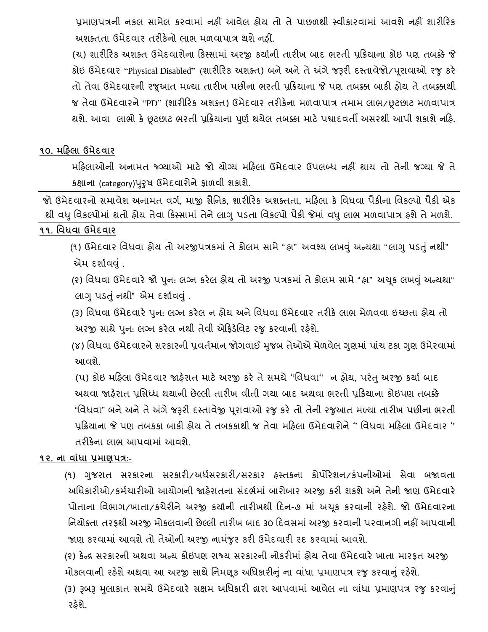પ્રમાણપત્રની નકલ સામલે કરવામાં નહીં આવેલ હોય તો તેપાછળથી સ્વીકારવામાં આવશેનહીં શારીરરક અશક્તતા ઉમેદવાર તરીકેનો લાભ મળવાપાત્ર થશેનહીં.

(ચ) શારીરરક અશક્ત ઉમેદવારોના રકસ્સામાં અરજી કયાડની તારીખ બાદ ભરતી પ્રરિયાના કોઇ પણ તબક્કેજે કોઇ ઉમેદવાર "Physical Disabled" (શારીરિક અશક્ત) બને અને તે અંગે જરૂરી દસ્તાવેજો/પૂરાવાઓ રજુ કરે તો તેવા ઉમેદવારની રજૂઆત મળ્યા તારીખ પછીના ભરતી પ્રરિયાના જે પણ તબક્કા બાકી હોય તેતબક્કાથી જ તેવા ઉમેદવારને"PD" (શારીરરક અશક્ત) ઉમેદવાર તરીકેના મળવાપાત્ર તમામ લાભ/છૂટછાટ મળવાપાત્ર થશે. આવા લાભો કેછૂટછાટ ભરતી પ્રરિયાના પણુ ડથયલે તબક્કા માટેપશ્વાદવતી અસરથી આપી શકાશેનરહ.

### **૧૦. મરહલા ઉમેદવાર**

મરહલાઓની અનામત જ્ગગ્યાઓ માટે જો યોગ્ય મરહલા ઉમેદવાર ઉપલબ્ધ નહીં થાય તો તેની જગ્યા જે તે કક્ષાના (category)પરુુર્ ઉમેદવારોનેફાળવી શકાશે.

જો ઉમેદવારનો સમાવેશ અનામત વર્ગ, માજી સૈનિક, શારીરિક અશક્તતા, મહિલા કે વિધવા પૈકીના વિકલ્પો પૈકી એક થી વધુવવકલ્પોમાં થતો હોય તેવા રકસ્સામાં તેનેલાગુપર્તા વવકલ્પો પૈકી જેમાં વધુલાભ મળવાપાત્ર હશેતેમળશે.

#### **૧૧. નવધવા ઉમેદવાર**

 (૧) ઉમેદવાર વવધવા હોય તો અરજીપત્રકમાં તેકોલમ સામે" હા" અવશ્ય લખવું અન્યથા " લાગુપર્તુંનથી" એમ દર્શાવવું .

(૨) વિધવા ઉમેદવારે જો પુન: લગ્ન કરેલ હોય તો અરજી પત્રકમાં તે કોલમ સામે "હા" અચૂક લખવું અન્યથા" લાગુપર્તુંનથી" એમ દશાડવવું .

(3) વિધવા ઉમેદવારે પુન: લગ્ન કરેલ ન હોય અને વિધવા ઉમેદવાર તરીકે લાભ મેળવવા ઇચ્છતા હોય તો અરજી સાથે પુન: લગ્ન કરેલ નથી તેવી એફિડેવિટ રજુ કરવાની રહેશે.

(૪) વિધવા ઉમેદવારને સરકારની પ્રવર્તમાન જોગવાઈ મુજબ તેઓએ મેળવેલ ગુણમાં પાંચ ટકા ગુણ ઉમેરવામાં આવશે.

(પ) કોઇ મહિલા ઉમેદવાર જાહેરાત માટે અરજી કરે તે સમયે ''વિધવા'' ન હોય, પરંતુ અરજી કર્યા બાદ અથવા જાહરે ાત પ્રવસધ્ધ થયાની છેલ્લી તારીખ વીતી ગયા બાદ અથવા ભરતી પ્રરિયાના કોઇપણ તબક્કે "વિધવા" બને અને તે અંગે જરૂરી દસ્તાવેજી પુરાવાઓ રજુ કરે તો તેની રજુઆત મળ્યા તારીખ પછીના ભરતી પ્રરિયાના જે પણ તબકકા બાકી હોય તેતબકકાથી જ તેવા મરહલા ઉમેદવારોને'' વવધવા મરહલા ઉમેદવાર '' તરીકેના લાભ આપવામાં આવશે.

#### **૧૨. િા વાાંધા પ્રમાણપત્ર:-**

(૧) ગજુ રાત સરકારના સરકારી/અધડસરકારી/સરકાર હસ્તકના કોપોરેશન/કંપનીઓમાં સેવા બજાવતા અધિકારીઓ/કર્મચારીઓ આયોગની જાહેરાતના સંદર્ભમાં બારોબાર અરજી કરી શકશે અને તેની જાણ ઉમેદવારે પોતાના વિભાગ/ખાતા/કચેરીને અરજી કર્યાની તારીખથી દિન-૭ માં અચૂક કરવાની રહેશે. જો ઉમેદવારના નિચોક્તા તરફથી અરજી મોકલવાની છેલ્લી તારીખ બાદ ૩૦ દિવસમાં અરજી કરવાની પરવાનગી નહીં આપવાની જાણ કરવામાં આવશેતો તઓે ની અરજી નામજં ુર કરી ઉમેદવારી રદ કરવામાં આવશે.

(૨) કેન્ર સરકારની અથવા અન્ય કોઇપણ રાજ્ય સરકારની નોકરીમાં હોય તેવા ઉમેદવારે ખાતા મારફત અરજી મોકલવાની રહેશે અથવા આ અરજી સાથે નિમણૂક અધિકારીનું ના વાંધા પ્રમાણપત્ર રજુ કરવાનું રહેશે.

(3) રૂબરૂ મુલાકાત સમયે ઉમેદવારે સક્ષમ અધિકારી દ્વારા આપવામાં આવેલ ના વાંધા પ્રમાણપત્ર રજુ કરવાનું રહેશે.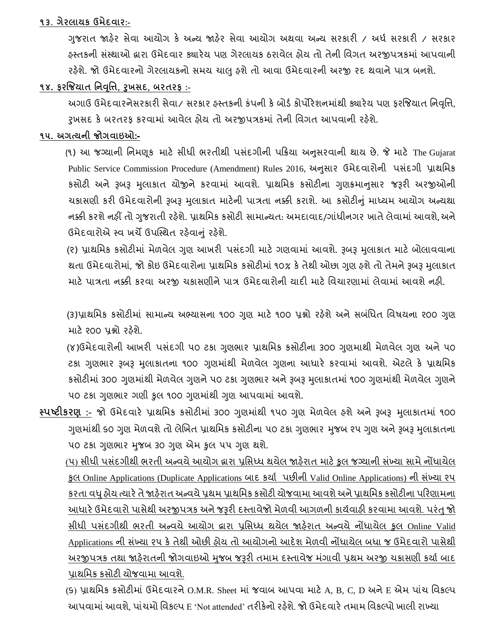#### **૧૩. ગેરલાયક ઉમેદવાર:-**

ગજુ રાત જાહરે સેવા આયોગ કે અન્ય જાહરે સવે ા આયોગ અથવા અન્ય સરકારી / અધડ સરકારી / સરકાર હસ્તકની સંસ્થાઓ દ્વારા ઉમેદવાર ક્યારેય પણ ગેરલાયક ઠરાવેલ હોય તો તેની વિગત અરજીપત્રકમાં આપવાની રફેશે. જો ઉમેદવારનો ગેરલાયકનો સમય ચાલુ ફશે તો આવા ઉમેદવારની અરજી રદ થવાને પાત્ર બનશે.

### **૧૪. ફરજજયાત નિવનૃિ, રુખસદ, બરતરફ :-**

અગાઉ ઉમેદવારનેસરકારી સેવા/ સરકાર હસ્તકની કંપની કેબોર્ડ કોપોરેશનમાથં ી ક્યારેય પણ ફરજજયાત વનવવૃત્ત, રૂખસદ કે બરતરફ કરવામાં આવેલ હોય તો અરજીપત્રકમાં તેની વિગત આપવાની રહેશે.

#### **૧૫. અગત્યિી જોગવાઇઓ:-**

(૧) આ જગ્યાની નિમણૂક માટે સીધી ભરતીથી પસંદગીની પક્રિયા અનુસરવાની થાય છે. જે માટે The Gujarat Public Service Commission Procedure (Amendment) Rules 2016, અનુસાર ઉમેદવારોની પસંદગી પ્રાથમિક કસોટી અને રૂબરૂ મુલાકાત યોજીને કરવામાં આવશે. પ્રાથમિક કસોટીના ગણક્રમાનસાર જરૂરી અરજીઓની ચકાસણી કરી ઉમેદવારોની રૂબરૂ મુલાકાત માટેની પાત્રતા નક્કી કરાશે. આ કસોટીનું માધ્યમ આયોગ અન્યથા નક્કી કરશે નહીં તો ગુજરાતી રહેશે. પ્રાથમિક કસોટી સામાન્યત: અમદાવાદ/ગાંધીનગર ખાતે લેવામાં આવશે,અને ઉમેદવારોએ સ્વ ખર્ચે ઉપસ્થિત રફેવાનું રફેશે.

(૨) પ્રાથમિક કસોટીમાં મેળવેલ ગુણ આખરી પસંદગી માટે ગણવામાં આવશે. રૂબરૂ મુલાકાત માટે બોલાવવાના થતા ઉમેદવારોમાં, જો કોઇ ઉમેદવારોના પ્રાથમિક કસોટીમાં ૧૦% કે તેથી ઓછા ગુણ ફશે તો તેમને રૂબરૂ મુલાકાત માટે પાત્રતા નક્કી કરવા અરજી ચકાસણીને પાત્ર ઉમેદવારોની યાદી માટે વિચારણામાં લેવામાં આવશે નહી.

(૩)પ્રાથમિક કસોટીમાં સામાન્ય અભ્યાસના ૧૦૦ ગુણ માટે ૧૦૦ પ્રશ્નો રહેશે અને સબંધિત વિષયના ૨૦૦ ગુણ માટે ૨૦૦ પ્રશ્નો રહેશે.

(૪)ઉમેદવારોની આખરી પસંદગી ૫૦ ટકા ગુણભાર પ્રાથમિક કસોટીના ૩૦૦ ગુણમાથી મેળવેલ ગુણ અને ૫૦ ટકા ગુણભાર રૂબરૂ મુલાકાતના ૧૦૦ ગુણમાંથી મેળવેલ ગુણના આધારે કરવામાં આવશે. એટલે કે પ્રાથમિક કસોટીમાં ૩૦૦ ગુણમાંથી મેળવેલ ગુણને ૫૦ ટકા ગુણભાર અને રૂબરૂ મુલાકાતમાં ૧૦૦ ગુણમાંથી મેળવેલ ગુણને ૫૦ ટકા ગુણભાર ગણી કુલ ૧૦૦ ગુણમાંથી ગુણ આપવામાં આવશે.

**સ્પષ્ટીકરણ :-** જો ઉમેદવારે પ્રાથમિક કસોટીમાં ૩૦૦ ગુણમાંથી ૧૫૦ ગુણ મેળવેલ ફશે અને રૂબરૂ મુલાકાતમાં ૧૦૦ ગુણમાંથી ૬૦ ગુણ મેળવશે તો લેખિત પ્રાથમિક કસોટીના ૫૦ ટકા ગુણભાર મુજબ ૨૫ ગુણ અને રૂબરૂ મુલાકાતના ૫૦ ટકા ગુણભાર મુજબ ૩૦ ગુણ એમ કુલ ૫૫ ગુણ થશે.

(૫) સીધી પસંદગીથી ભરતી અન્વયે આયોગ દ્વારા પ્રસિધ્ધ થયેલ જાફેરાત માટે કુલ જગ્યાની સંખ્યા સામે નોંધાયેલ કુલ Online Applications (Duplicate Applications બાદ કર્યા પછીની Valid Online Applications) ની સંખ્યા ૨૫ કરતા વધુહોય ત્યારેતેજાહરે ાત અન્વયેપ્રથમ પ્રાથવમક કસોટી યોજવામાઆવશેઅનેપ્રાથવમક કસોટીના પરરણામના આધારે ઉમેદવારો પાસેથી અરજીપત્રક અને જરૂરી દસ્તાવેજો મેળવી આગળની કાર્યવાફી કરવામા આવશે. પરંતુ જો સીધી પસંદગીથી ભરતી અન્વયે આયોગ દ્વારા પ્રસિધ્ધ થયેલ જાહેરાત અન્વયે નોંધાયેલ કુલ Online Valid Applications ની સંખ્યા ૨૫ કે તેથી ઓછી હોય તો આયોગનો આદેશ મેળવી નોંધાયેલ બધા જ ઉમેદવારો પાસેથી અરજીપત્રક તથા જાહેરાતની જોગવાઇઓ મુજબ જરૂરી તમામ દસ્તાવેજ મંગાવી પ્રથમ અરજી ચકાસણી કર્યા બાદ પ્રાથવમક કસોટી યોજવામા આવશ.ે

(5) પ્રાથમિક કસોટીમાં ઉમેદવારને O.M.R. Sheet માં જવાબ આપવા માટે A, B, C, D અને E એમ પાંચ વિકલ્પ આપવામાં આવશે, પાંચમો વિકલ્પ E 'Not attended' તરીકેનો રહેશે. જો ઉમેદવારે તમામ વિકલ્પો ખાલી રાખ્યા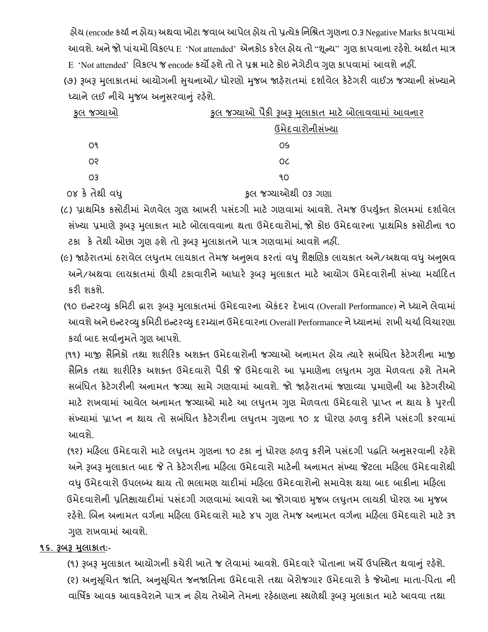હોય (encode કર્યા ન હોય) અથવા ખોટા જવાબ આપેલ હોય તો પ્રત્યેક નિશ્રિત ગુણના ૦.૩ Negative Marks કાપવામાં આવશે. અને જો પાંચમો વિકલ્પ E 'Not attended' એનકોડ કરેલ હોય તો "શૂન્ય" ગુણ કાપવાના રહેશે. અર્થાત માત્ર E 'Not attended' વવકલ્પ જ encode કયો હશેતો તેપ્રશ્ન માટેકોઇ નેગેટીવ ગણુ કાપવામાં આવશેનહીં.

(૭) રૂબરૂ મુલાકાતમાં આયોગની સુચનાઓ/ ધોરણો મુજબ જાહેરાતમાં દર્શાવેલ કેટેગરી વાઈઝ જગ્યાની સંખ્યાને ધ્યાને લઈ નીચે મુજબ અનુસરવાનું રહેશે.

| કુલ જગ્યાઓ     | કુલ જગ્યાઓ પૈકી રૂબરૂ મુલાકાત માટે બોલાવવામાં આવનાર |  |
|----------------|-----------------------------------------------------|--|
|                | ઉમેદવારોનીસંખ્યા                                    |  |
| О۹             | OS                                                  |  |
| OS.            | OC                                                  |  |
| O3             | ٩O                                                  |  |
| ૦૪ કે તેથી વધુ | કુલ જગ્યાઓથી ૦૩ ગણા                                 |  |

- (૮) પ્રાથમિક કસોટીમાં મેળવેલ ગુણ આખરી પસંદગી માટે ગણવામાં આવશે. તેમજ ઉપર્યુક્ત કોલમમાં દર્શાવેલ સંખ્યા પ્રમાણે રૂબરૂ મુલાકાત માટે બોલાવવાના થતા ઉમેદવારોમાં, જો કોઇ ઉમેદવારના પ્રાથમિક કસોટીના ૧૦ ટકા કે તેથી ઓછા ગુણ ફશે તો રૂબરૂ મુલાકાતને પાત્ર ગણવામાં આવશે નહીં.
- (૯) જાહેરાતમાં ઠરાવેલ લઘુતમ લાયકાત તેમજ અનુભવ કરતાં વધુ શૈક્ષણિક લાયકાત અને/અથવા વધુ અનુભવ અને/અથવા લાયકાતમાં ઊંચી ટકાવારીને આધારે રૂબરૂ મુલાકાત માટે આયોગ ઉમેદવારોની સંખ્યા મર્યાદિત કરી શકશે.
- (૧૦ ઇન્ટરવ્યુ કમિટી દ્વારા રૂબરૂ મુલાકાતમાં ઉમેદવારના એકંદર દેખાવ (Overall Performance) ને ધ્યાને લેવામાં આવશે અને ઇન્ટરવ્યુ કમિટી ઇન્ટરવ્યુ દરમ્યાન ઉમેદવારના Overall Performance ને ધ્યાનમાં રાખી ચર્ચા વિચારણા કર્યા બાદ સર્વાનમતે ગણ આપશે.
- (૧૧) માજી સૈવનકો તથા શારીરરક અશક્ત ઉમદેવારોની જગ્યાઓ અનામત હોય ત્યારે સબવંધત કેટેગરીના માજી સૈનિક તથા શારીરિક અશક્ત ઉમેદવારો પૈકી જે ઉમેદવારો આ પ્રમાણેના લઘુતમ ગુણ મેળવતા ફશે તેમને સબવંધત કેટેગરીની અનામત જગ્યા સામેગણવામાં આવશે. જો જાહરે ાતમાં જણાવ્યા પ્રમાણેની આ કેટેગરીઓ માટે રાખવામાં આવેલ અનામત જગ્યાઓ માટે આ લઘુતમ ગુણ મેળવતા ઉમેદવારો પ્રાપ્ત ન થાય કે પુરતી સંખ્યામાં પ્રાપ્ત ન થાય તો સબંધિત કેટેગરીના લઘુતમ ગુણના ૧૦ % ધોરણ ફળવુ કરીને પસંદગી કરવામાં આવશે.
- (૧૨) મહિલા ઉમેદવારો માટે લઘુતમ ગુણના ૧૦ ટકા નું ધોરણ ફળવુ કરીને પસંદગી પદ્ધતિ અનુસરવાની રહેશે અને રૂબરૂ મુલાકાત બાદ જે તે કેટેગરીના મહિલા ઉમેદવારો માટેની અનામત સંખ્યા જેટલા મહિલા ઉમેદવારોથી વધુઉમેદવારો ઉપલબ્ધ થાય તો ભલામણ યાદીમાં મરહલા ઉમેદવારોનો સમાવેશ થયા બાદ બાકીના મરહલા ઉમેદવારોની પ્રતિક્ષાયાદીમાં પસંદગી ગણવામાં આવશે આ જોગવાઇ મુજબ લધુતમ લાયકી ધોરણ આ મુજબ રહેશે. બિન અનામત વર્ગના મહિલા ઉમેદવારો માટે ૪૫ ગુણ તેમજ અનામત વર્ગના મહિલા ઉમેદવારો માટે ૩૧ ગણુ રાખવામાં આવશે.

#### **૧૬. રૂબરૂ મલુ ાકાત:-**

(૧) રૂબરૂ મુલાકાત આયોગની કચેરી ખાતે જ લેવામાં આવશે. ઉમેદવારે પોતાના ખર્ચે ઉપસ્થિત થવાનું રહેશે. (૨) અનુસૂચિત જાતિ, અનુસૂચિત જનજાતિના ઉમેદવારો તથા બેરોજગાર ઉમેદવારો કે જેઓના માતા-પિતા ની વાર્ષિક આવક આવકવેરાને પાત્ર ન હોય તેઓને તેમના રહેઠાણના સ્થળેથી રૂબરૂ મુલાકાત માટે આવવા તથા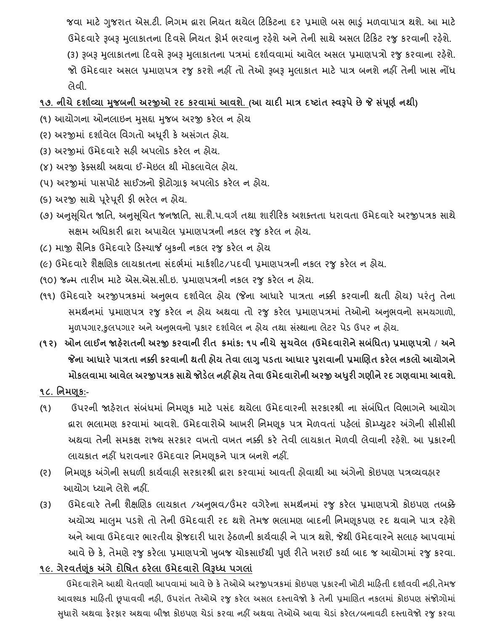જવા માટે ગુજરાત એસ.ટી. નિગમ દ્વારા નિયત થયેલ ટિકિટના દર પ્રમાણે બસ ભાડું મળવાપાત્ર થશે. આ માટે ઉમેદવારે રૂબરૂ મુલાકાતના દિવસે નિયત ફોર્મ ભરવાનુ રહેશે અને તેની સાથે અસલ ટિકિટ રજુ કરવાની રહેશે. (૩) રૂબરૂ મુલાકાતના દિવસે રૂબરૂ મુલાકાતના પત્રમાં દર્શાવવામાં આવેલ અસલ પ્રમાણપત્રો રજુ કરવાના રહેશે. જો ઉમેદવાર અસલ પ્રમાણપત્ર રજુ કરશે નહીં તો તેઓ રૂબરૂ મુલાકાત માટે પાત્ર બનશે નહીં તેની ખાસ નોંધ લેવી.

**૧૭. િીિેદશાગવ્યા મજુ બિી અરજીઓ રદ કરવામાાં આવશે. (આ યાદી માત્ર દષ્ટાતાં સ્વરૂપેછેજે સપાં ણૂ ગિથી)**

- (૧) આયોગના ઓનલાઇન મુસદ્દા મુજબ અરજી કરેલ ન હોય
- (૨) અરજીમાં દર્શાવેલ વિગતો અધૂરી કે અસંગત હોય.
- (૩) અરજીમાં ઉમેદવારે સહી અપલોડ કરેલ ન હોય.
- (૪) અરજી ફેક્સથી અથવા ઈ-મેઇલ થી મોકલાવેલ હોય.
- (૫) અરજીમાં પાસપોર્ટ સાઈઝનો ફોટોગ્રાફ અપલોડ કરેલ ન હોય.
- (૬) અરજી સાથેપરૂેપરૂી ફી ભરેલ ન હોય.
- (૭) અનુસૂચિત જાતિ, અનુસૂચિત જનજાતિ, સા.શૈ.પ.વર્ગ તથા શારીરિક અશક્તતા ધરાવતા ઉમેદવારે અરજીપત્રક સાથે સક્ષમ અવધકારી દ્વારા અપાયેલ પ્રમાણપત્રની નકલ રજુકરેલ ન હોય.
- (૮) માજી સૈવનક ઉમેદવારેરર્સ્ચાર્જ બકુની નકલ રજુકરેલ ન હોય
- (૯) ઉમેદવારે શૈક્ષણિક લાયકાતના સંદર્ભમાં માર્કશીટ/પદવી પ્રમાણપત્રની નકલ રજુ કરેલ ન હોય.
- (૧૦) જન્મ તારીખ માટે એસ.એસ.સી.ઇ. પ્રમાણપત્રની નકલ રજુ કરેલ ન હોય.
- (૧૧) ઉમેદવારે અરજીપત્રકમાં અનુભવ દર્શાવેલ હોય (જેના આધારે પાત્રતા નક્કી કરવાની થતી હોય) પરંતુ તેના સમર્થનમાં પ્રમાણપત્ર રજુ કરેલ ન હોય અથવા તો રજુ કરેલ પ્રમાણપત્રમાં તેઓનો અનુભવનો સમયગાળો, મુળપગાર,કુલપગાર અને અનુભવનો પ્રકાર દર્શાવેલ ન હોય તથા સંસ્થાના લેટર પેડ ઉપર ન હોય.
- (૧૨) ઓન લાઈન જાહેરાતની અરજી કરવાની રીત ક્રમાંક: ૧૫ નીચે સુચવેલ (ઉમેદવારોને સબંધિત) પ્રમાણપત્રો / અને **જેિા આધારેપાત્રતા િક્કી કરવાિી થતી હોય તેવા લાગુપડતા આધાર પરુાવાિી પ્રમાચણત કરેલ િકલો આયોગિે મોકલવામા આવેલ અરજીપત્રક સાથેજોડલે િહીં હોય તેવા ઉમેદવારોિી અરજી અધરુી ગણીિેરદ ગણવામા આવશે.**

### **૧૮. નિમણકૂ:-**

- (૧) ઉપરની જાહેરાત સંબંધમાં નિમણૂક માટે પસંદ થયેલા ઉમેદવારની સરકારશ્રી ના સંબંધિત વિભાગને આયોગ દ્વારા ભલામણ કરવામાં આવશે. ઉમેદવારોએ આખરી વનમણકૂ પત્ર મેળવતાં પહલે ાં કોમ્પ્યટુર અંગેની સીસીસી અથવા તેની સમકક્ષ રાજ્ય સરકાર વખતો વખત નક્કી કરે તેવી લાયકાત મેળવી લેવાની રહેશે. આ પ્રકારની લાયકાત નહીં ધરાવનાર ઉમેદવાર નિમણૂકને પાત્ર બનશે નહીં.
- (૨) વનમણકૂ અંગેની સઘળી કાયડવાહી સરકારશ્રી દ્વારા કરવામાં આવતી હોવાથી આ અંગેનો કોઇપણ પત્રવ્યવહાર આયોગ ધ્યાને લેશે નહીં.
- (૩) ઉમેદવારે તેની શૈક્ષણિક લાયકાત /અનુભવ/ઉંમર વગેરેના સમર્થનમાં રજુ કરેલ પ્રમાણપત્રો કોઇપણ તબક્કે અયોગ્ય માલુમ પડશે તો તેની ઉમેદવારી રદ થશે તેમજ ભલામણ બાદની નિમણૂકપણ રદ થવાને પાત્ર રહેશે અને આવા ઉમેદવાર ભારતીય કોજદારી ધારા ફેઠળની કાર્યવાફી ને પાત્ર થશે. જેથી ઉમેદવારને સલાફ આપવામાં આવે છે કે, તેમણે રજુ કરેલા પ્રમાણપત્રો ખુબજ ચોકસાઈથી પુર્ણ રીતે ખરાઈ કર્યા બાદ જ આયોગમાં રજુ કરવા.
- **૧૯. ગેરવતગણકાંૂ અંગેદોનષત ઠરેલા ઉમેદવારો નવરૂધ્ધ પગલાાં**

 ઉમેદવારોનેઆથી ચેતવણી આપવામાંઆવેછેકેતેઓએ અરજીપત્રકમાં કોઇપણ પ્રકારની ખોટી મારહતી દશાડવવી નહી,તેમજ આવશ્યક માહિતી છૂપાવવી નહી, ઉપરાંત તેઓએ રજુ કરેલ અસલ દસ્તાવેજો કે તેની પ્રમાણિત નકલમાં કોઇપણ સંજોગોમાં સુધારો અથવા ફેરફાર અથવા બીજા કોઇપણ ચેડાં કરવા નહીં અથવા તેઓએ આવા ચેડાં કરેલ/બનાવટી દસ્તાવેજો રજુ કરવા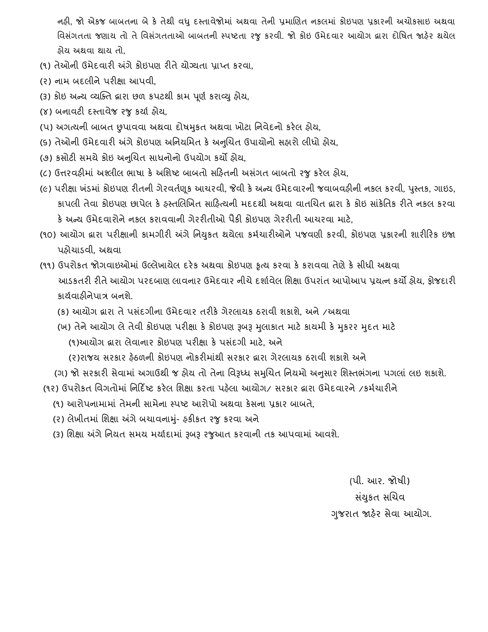નહી, જો એકજ બાબતના બેકે તેથી વધુદસ્તાવેજોમાં અથવા તેની પ્રમાબણત નકલમાં કોઇપણ પ્રકારની અચોકસાઇ અથવા વિસંગતતા જણાય તો તે વિસંગતતાઓ બાબતની સ્પષ્ટતા રજુ કરવી. જો કોઇ ઉમેદવાર આયોગ દ્વારા દોષિત જાફેર થયેલ હોય અથવા થાય તો,

- (૧) તેઓની ઉમેદવારી અંગે કોઇપણ રીતે યોગ્યતા પ્રાપ્ત કરવા,
- (ર) નામ બદલીને પરીક્ષા આપવી,
- (૩) કોઇ અન્ય વ્યક્ક્ત દ્વારા છળ કપટથી કામ પણૂ ડકરાવ્યુહોય,
- (૪) બનાવટી દસ્તાવેજ રજુ કર્યા હોય,
- (પ) અગત્યની બાબત છુપાવવા અથવા દોર્મકુત અથવા ખોટા વનવેદનો કરેલ હોય,
- (૬) તેઓની ઉમેદવારી અંગે કોઇપણ અનિયમિત કે અનુચિત ઉપાયોનો સહારો લીધો હોય,
- (૭) કસોટી સમયે કોઇ અનબુચત સાધનોનો ઉપયોગ કયો હોય,
- (૮) ઉત્તરવહીમાં અશ્લીલ ભાષા કે અશિષ્ટ બાબતો સરિતની અસંગત બાબતો રજુ કરેલ હોય,
- (૯) પરીક્ષા ખંડમાં કોઇપણ રીતની ગેરવર્તણૂક આચરવી, જેવી કે અન્ય ઉમેદવારની જવાબવઠીની નકલ કરવી, પુસ્તક, ગાઇડ, કાપલી તેવા કોઇપણ છાપેલ કે ઠસ્તલિખિત સાઠિત્યની મદદથી અથવા વાતચિત દ્વારા કે કોઇ સાંકેતિક રીતે નકલ કરવા કે અન્ય ઉમેદવારોને નકલ કરાવવાની ગેરરીતીઓ પૈકી કોઇપણ ગેરરીતી આચરવા માટે,
- (૧૦) આયોગ દ્વારા પરીક્ષાની કામગીરી અંગે નિયુકત થયેલા કર્મચારીઓને પજવણી કરવી, કોઇપણ પ્રકારની શારીરિક ઇજા પહોચાર્વી, અથવા
- (૧૧) ઉપરોકત જોગવાઇઓમાં ઉલ્લેખાયેલ દરેક અથવા કોઇપણ કૃત્ય કરવા કે કરાવવા તેણે કે સીધી અથવા આડકતરી રીતે આયોગ પરદબાણ લાવનાર ઉમેદવાર નીચે દર્શાવેલ શિક્ષા ઉપરાંત આપોઆપ પ્રયત્ન કર્યો હોય, ફોજદારી કાયડવાહીનેપાત્ર બનશે.
	- (ક) આયોગ દ્વારા તે પસ ંદગીના ઉમેદવાર તરીકે ગેરલાયક ઠરાવી શકાશે, અને /અથવા
	- (ખ) તેને આયોગ લે તેવી કોઇપણ પરીક્ષા કે કોઇપણ રૂબરૂ મુલાકાત માટે કાયમી કે મુકરર મુદત માટે (૧)આયોગ દ્વારા લેવાનાર કોઇપણ પરીક્ષા કે પસ ંદગી માટે, અને
		- (ર)રાજય સરકાર હેઠળની કોઇપણ નોકરીમાંથી સરકાર દ્વારા ગેરલાયક ઠરાવી શકાશે અને

(ગ) જો સરકારી સેવામાં અગાઉથી જ હોય તો તેના વિરૂધ્ધ સમુચિત નિયમો અનુસાર શિસ્તભંગના પગલાં લઇ શકાશે.

(૧૨) ઉપરોકત વિગતોમાં નિર્દિષ્ટ કરેલ શિક્ષા કરતા પહેલા આયોગ/ સરકાર દ્વારા ઉમેદવારને /કર્મચારીને

- (૧) આરોપનામામાં તેમની સામેના સ્પષ્ટ આરોપો અથવા કેસના પ્રકાર બાબતે,
- (૨) લેખીતમાં શિક્ષા અંગે બચાવનામું- ફકીકત રજુ કરવા અને
- (૩) વશક્ષા અંગેવનયત સમય મયાડદામાં રૂબરૂ રજુઆત કરવાની તક આપવામાં આવશે.

 (પી. આર. જોર્ી) સ્ત્ર રાજ્યના સંસ્થા સંસ્થા માટે આ પ્રાપ્ય માટે આ પ્રાપ્ય માટે આ પ્રાપ્ય માટે સંસ્થા સંસ્થા માટે સંસ્થા માટે સ ગજુ રાત જાહરે સેવા આયોગ.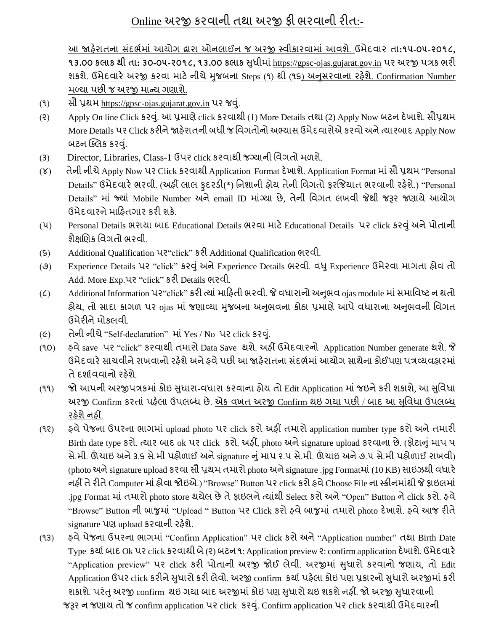# Online અરજી કરવાની તથા અરજી ફી ભરવાની રીત:-

આ જાહરે ાતના સદં ભડમાં આયોગ દ્વારા ઓનલાઈન જ અરજી સ્વીકારવામાં આવશે. ઉમેદવાર તા**:૧૫-૦૫-૨૦૧૮, ૧૩.૦૦ કલાક થી તા: ૩૦-૦૫-૨૦૧૮, ૧૩.૦૦ કલાક** સધુ ીમાં[https://gpsc-ojas.gujarat.gov.in](https://gpsc-ojas.gujarat.gov.in/) પર અરજી પત્રક ભરી શકશે. ઉમેદવારે અરજી કરવા માટે નીચે મુજબના Steps (૧) થી (૧૬) અનુસરવાના રહેશે. Confirmation Number મળ્યા પછી જ અરજી માન્ય ગણાશ.ે

- (૧) સૌ પ્રથમ https://gpsc-ojas.gujarat.gov.in પર જવ.ું
- (૨) Apply On line Click કરવ. ું આ પ્રમાણેclick કરવાથી (1) More Details તથા (2) Apply Now બટન દેખાશે. સૌપ્રથમ More Details પર Click કરીનેજાહરે ાતની બધી જ વવગતોનો અભ્યાસ ઉમેદવારોએ કરવો અનેત્યારબાદ Apply Now બટન ક્લિક કરવં.
- (3) Director, Libraries, Class-1 ઉપર click કરવાથી જગ્યાની વિગતો મળશે.
- (૪) તેની નીચેApply Now પર Click કરવાથી Application Format દેખાશે. Application Format માંસૌ પ્રથમ "Personal Details" ઉમેદવારે ભરવી. (અહીં લાલ ફુદરડી(\*) નિશાની હોય તેની વિગતો ફરજિયાત ભરવાની રહેશે.) "Personal Details" માં જ્યાં Mobile Number અને email ID માંગ્યા છે, તેની વિગત લખવી જેથી જરૂર જણાયે આયોગ ઉમેદવારનેમારહતગાર કરી શકે.
- (૫) Personal Details ભરાયા બાદ Educational Details ભરવા માટેEducational Details પર click કરવુંઅનેપોતાની શૈક્ષણિક વિગતો ભરવી
- (૬) Additional Qualification પર"click" કરી Additional Qualification ભરવી.
- (૭) Experience Details પર "click" કરવુંઅનેExperience Details ભરવી. વધુExperience ઉમેરવા માગતા હોવ તો Add. More Exp.પર "click" કરી Details ભરવી.
- (C) Additional Information પર "click" કરી ત્યાં માહિતી ભરવી. જે વધારાનો અનુભવ ojas module માં સમાવિષ્ટ ન થતો હોય, તો સાદા કાગળ પર <sub>ગંas</sub> માં જણાવ્યા મુજબના અનુભવના કોઠા પ્રમાણે આપે વધારાના અનુભવની વિગત ઉમેરીનેમોકલવી.
- (૯) તેની નીચે "Self-declaration" માં Yes / No પર click કરવું.
- (૧૦) હવેsave પર "click" કરવાથી તમારો Data Save થશે. અહીં ઉમેદવારનો Application Number generate થશે. જે ઉમેદવારે સાચવીને રાખવાનો રહેશે અને હવે પછી આ જાહેરાતના સંદર્ભમાં આયોગ સાથેના કોઈપણ પત્રવ્યવહારમાં તે દર્શાવવાનો રહેશે
- (૧૧) જો આપની અરજીપત્રકમાં કોઇ સુધારા-વધારા કરવાના હોય તો Edit Application માં જઇને કરી શકાશે, આ સુવિધા અરજી Confirm કરતાં પહેલા ઉપલબ્ધ છે. એક વખત અરજી Confirm થઇ ગયા પછી / બાદ આ સુવિધા ઉપલબ્ધ રહેશે નહીં.
- (૧૨) હવેપેજના ઉપરના ભાગમાં upload photo પર click કરો અહીં તમારો application number type કરો અનેતમારી Birth date type કરો. ત્યાર બાદ ok પર click કરો. અહીં, photo અનેsignature upload કરવાના છે. (ફોટાનુંમાપ ૫ સે.મી. ઊંચાઇ અને૩.૬ સે.મી પહોળાઈ અનેsignature નુંમાપ ૨.૫ સે.મી. ઊંચાઇ અને૭.૫ સે.મી પહોળાઈ રાખવી) (photo અનેsignature upload કરવા સૌ પ્રથમ તમારો photo અનેsignature .jpg Formatમાં(10 KB) સાઇઝથી વધારે નહીં તે રીતે Computer માં હોવા જોઇએ.) "Browse" Button પર click કરો હવે Choose File ના સ્ક્રીનમાંથી જે ફાઇલમાં .jpg Format માંતમારો photo store થયેલ છે તે ફાઇલને ત્યાંથી Select કરો અને "Open" Button ને click કરો. હવે "Browse" Button ની બાજુમાં "Upload " Button પર Click કરો હવેબાજુમાં તમારો photo દેખાશે. હવેઆજ રીતે signature પણ upload કરવાની રહેશે.
- (૧૩) હવેપેજના ઉપરના ભાગમાં "Confirm Application" પર click કરો અને"Application number" તથા Birth Date Type કર્યા બાદ Ok પર click કરવાથી બે (૨) બટન ૧: Application preview ૨: confirm application દેખાશે. ઉમેદવારે "Application preview" પર click કરી પોતાની અરજી જોઈ લેવી. અરજીમાં સુધારો કરવાનો જણાય, તો Edit Application ઉપર click કરીને સુધારો કરી લેવો. અરજી confirm કર્યા પહેલા કોઇ પણ પ્રકારનો સુધારો અરજીમાં કરી શકાશે. પરંતુ અરજી confirm થઇ ગયા બાદ અરજીમાં કોઇ પણ સુધારો થઇ શકશે નહીં. જો અરજી સુધારવાની જરૂર ન જણાય તો જ confirm application પર click કરવું. Confirm application પર click કરવાથી ઉમેદવારની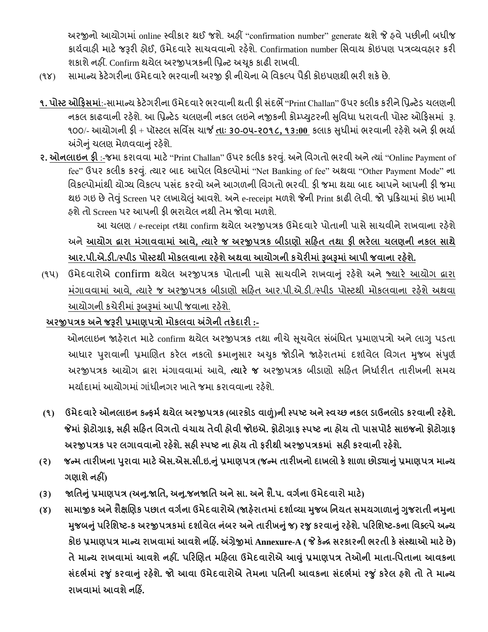અરજીનો આયોગમાં online સ્વીકાર થઈ જશ. ેઅહીં "confirmation number" generate થશેજે હવેપછીની બધીજ કાર્યવાહી માટે જરૂરી હોઈ, ઉમેદવારે સાચવવાનો રહેશે. Confirmation number સિવાય કોઇપણ પત્રવ્યવહાર કરી શકાશે નહીં. Confirm થયેલ અરજીપત્રકની પ્રિન્ટ અચુક કાઢી રાખવી.

- (૧૪) સામાન્ય કેટેગરીના ઉમેદવારેભરવાની અરજી ફી નીચેના બેવવકલ્પ પૈકી કોઇપણથી ભરી શકેછે.
- ૧. પોસ્ટ ઓફિસમાં:-સામાન્ય કેટેગરીના ઉમેદવારે ભરવાની થતી ફી સંદર્ભે "Print Challan" ઉપર કલીક કરીને પ્રિન્ટેડ ચલણની નકલ કાઢવાની રહેશે. આ પ્રિન્ટેડ ચલણની નકલ લઇને નજીકની કોમ્પ્યુટરની સુવિધા ધરાવતી પોસ્ટ ઓફિસમાં રૂ. ૧૦૦/- આયોગની ફી + પૉસ્ટલ સવવિસ ચાર્જ **તાાઃ ૩૦-૦૫-૨૦૧૮, ૧૩:00** કલાક સધુ ીમાંભરવાની રહશે ેઅનેફી ભયાડ અંગેનું ચલણ મેળવવાનું રફેશે.
- **૨. ઓિલાઇિ ફી** :-જમા કરાવવા માટે"Print Challan" ઉપર કલીક કરવ. ું અનેવવગતો ભરવી અનેત્યાં"Online Payment of fee" ઉપર કલીક કરવું. ત્યાર બાદ આપેલ વિકલ્પોમાં "Net Banking of fee" અથવા "Other Payment Mode" ના વિકલ્પોમાંથી યોગ્ય વિકલ્પ પસંદ કરવો અને આગળની વિગતો ભરવી. ફી જમા થયા બાદ આપને આપની ફી જમા થઇ ગઇ છે તેવું Screen પર લખાયેલું આવશે. અને e-receipt મળશે જેની Print કાઢી લેવી. જો પ્રક્રિયામાં કોઇ ખામી હશેતો Screen પર આપની ફી ભરાયેલ નથી તેમ જોવા મળશે.

આ ચલણ / e-receipt તથા confirm થયેલ અરજીપત્રક ઉમેદવારે પોતાની પાસે સાચવીને રાખવાના રહેશે અને**આયોગ દ્વારા માંગાવવામાાં આવે, ત્યારે જ અરજીપત્રક બીડાણો સરહત તથા ફી ભરેલા િલણિી િકલ સાથે આર.પી.એ.ડી./સ્પીડ પોસ્ટથી મોકલવાિા રહશે ેઅથવા આયોગિી કિેરીમાાંરૂબરૂમાાંઆપી જવાિા રહશે ે.**

(૧૫) ઉમેદવારોએ confirm થયેલ અરજીપત્રક પોતાની પાસેસાચવીનેરાખવાનું રહશે ેઅનેજ્યારે આયોગ દ્વારા મંગાવવામાં આવે, ત્યારે જ અરજીપત્રક બીડાણો સર્હિત આર.પી.એ.ડી./સ્પીડ પોસ્ટથી મોકલવાના રહેશે અથવા આયોગની કચેરીમાં રૂબરૂમાં આપી જવાના રહેશે.

# **અરજીપત્રક અિેજરૂરી પ્રમાણપત્રો મોકલવા અંગેિી તકેદારી :-**

ઓનલાઇન જાહેરાત માટે confirm થયેલ અરજીપત્રક તથા નીચે સૂચવેલ સંબંધિત પ્રમાણપત્રો અને લાગુ પડતા આધાર પુરાવાની પ્રમાણિત કરેલ નકલો ક્રમાનુસાર અચુક જોડીને જાહેરાતમાં દર્શાવેલ વિગત મુજબ સંપુર્ણ અરજીપત્રક આયોગ દ્વારા મંગાવવામાં આવે, **ત્યારે જ** અરજીપત્રક બીડાણો સરિત નિર્ધારીત તારીખની સમય મર્યાદામાં આયોગમાં ગાંધીનગર ખાતે જમા કરાવવાના રહેશે

- (૧) ઉમેદવારે ઓનલાઇન કન્કર્મ થયેલ અરજીપત્રક (બારકોડ વાળું)ની સ્પષ્ટ અને સ્વચ્છ નકલ ડાઉનલોડ કરવાની રહેશે. **જેમાાંફોટોગ્રાફ, સહી સરહત નવગતો વાંિાય તેવી હોવી જોઇએ. ફોટોગ્રાફ સ્પષ્ટ િા હોય તો પાસપોટગસાઇજિો ફોટોગ્રાફ અરજીપત્રક પર લગાવવાિો રહશે ે. સહી સ્પષ્ટ િા હોય તો ફરીથી અરજીપત્રકમાાં સહી કરવાિી રહશે ે.**
- (૨) જન્મ તારીખના પુરાવા માટે એસ.એસ.સી.ઇ.નું પ્રમાણપત્ર (જન્મ તારીખનો દાખલો કે શાળા છોડ્યાનું પ્રમાણપત્ર માન્ય **ગણાશેિહીં)**
- (3) જાતિનું પ્રમાણપત્ર (અનુ.જાતિ, અનુ.જનજાતિ અને સા. અને શે.પ. વર્ગના ઉમેદવારો માટે)
- (૪) સામાજીક અને શૈક્ષણિક પછાત વર્ગના ઉમેદવારોએ (જાહેરાતમાં દર્શાવ્યા મુજબ નિયત સમયગાળાનું ગુજરાતી નમુના **મજુ બનાંુપરરનશષ્ટ-ક અરજીપત્રકમાાંદશાગવેલ િાંબર અિેતારીખનાંુજ) રજુકરવાનાંુરહશે ે. પરરનશષ્ટ-કિા નવક્લ્પેઅન્ય કોઇ પ્રમાણપત્ર માન્ય રાખવામાાંઆવશેિરહિં. અંગ્રેજીમાાંAnnexure-A ( જે કેન્ર સરકારિી ભરતી કેસાંસ્થાઓ માટેછે) તેમાન્ય રાખવામાાં આવશેિહીં. પરરચણત મરહલા ઉમેદવારોએ આવાંુપ્રમાણપત્ર તેઓિી માતા-નપતાિા આવકિા સાંદભગમાાં રજુાંકરવાનાંુરહશે ે. જો આવા ઉમેદવારોએ તેમિા પનતિી આવકિા સાંદભગમાાં રજુાંકરેલ હશેતો તેમાન્ય રાખવામાાંઆવશેિરહિં.**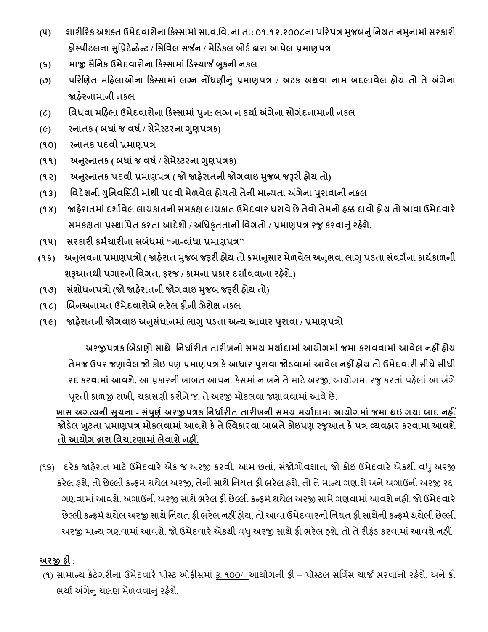- (૫) શારીરિક અશક્ત ઉમેદવારોના કિસ્સામાં સા.વ.વિ. ના તા: ૦૧.૧૨.૨૦૦૮ના પરિપત્ર મુજબનું નિયત નમુનામાં સરકારી **હોસ્પીટલિા સનુપ્રટેન્ડન્ેટ / નસનવલ સર્જિ / મેરડકલ બોડગદ્વારા આપેલ પ્રમાણપત્ર**
- **(૬) માજી સૈનિક ઉમેદવારોિા રકસ્સામાાંરડસ્િાર્જ બકુિી િકલ**
- **(૭) પરરચણત મરહલાઓિા રકસ્સામાાં લગ્િ િોંધણીનાંુપ્રમાણપત્ર / અટક અથવા િામ બદલાવેલ હોય તો તેઅંગેિા જાહરે િામાિી િકલ**
- **(૮) નવધવા મરહલા ઉમેદવારોિા રકસ્સામાાંપિુ : લગ્િ િ કયાગઅંગેિા સોગાંદિામાિી િકલ**
- **(૯) સ્િાતક ( બધાાંજ વષગ/ સેમેસ્ટરિા ગણુ પત્રક)**
- **(૧૦) સ્િાતક પદવી પ્રમાણપત્ર**
- **(૧૧) અનસ્ુિાતક ( બધાાંજ વષગ/ સેમેસ્ટરિા ગણુ પત્રક)**
- **(૧૨) અનસ્ુિાતક પદવી પ્રમાણપત્ર ( જો જાહરે ાતિી જોગવાઇ મજુ બ જરૂરી હોય તો)**
- **(૧૩) નવદેશિી યનુિવનસિટી માાંથી પદવી મેળવેલ હોયતો તેિી માન્યતા અંગેિા પરુાવાિી િકલ**
- **(૧૪) જાહરે ાતમાાંદશાગવેલ લાયકાતિી સમકક્ષ લાયકાત ઉમેદવાર ધરાવેછેતેવો તેમિો હક્ક દાવો હોય તો આવા ઉમેદવારે સમકક્ષતા પ્રસ્થાનપત કરતા આદેશો / અનધકૃતતાિી નવગતો / પ્રમાણપત્ર રજુકરવાનાંુરહશે ે.**
- **(૧૫) સરકારી કમગિારીિા સબાંધમાાં"િા-વાાંધા પ્રમાણપત્ર"**
- (૧૬) અનુભવના પ્રમાણપત્રો ( જાહેરાત મુજબ જરૂરી હોય તો ક્રમાનુસાર મેળવેલ અનુભવ, લાગુ પડતા સંવર્ગના કાર્યકાળની **શરૂઆતથી પગારિી નવગત, ફરજ / કામિા પ્રકાર દશાગવવાિા રહશે ે.)**
- **(૧૭) સાંશોધિપત્રો (જો જાહરે ાતિી જોગવાઇ મજુ બ જરૂરી હોય તો)**
- **(૧૮) ચબિઅિામત ઉમેદવારોએ ભરેલ ફીિી ઝેરોક્ષ િકલ**
- **(૧૯) જાહરે ાતિી જોગવાઇ અનસુ ધાં ાિમાાંલાગુપડતા અન્ય આધાર પરુાવા / પ્રમાણપત્રો**

 **અરજીપત્રક ચબડાણો સાથે નિધાગરીત તારીખિી સમય મયાગદામાાંઆયોગમાાંજમા કરાવવામાાંઆવેલ િહીં હોય તેમજ ઉપર જણાવેલ જો કોઇ પણ પ્રમાણપત્ર કેઆધાર પરુાવા જોડવામાાંઆવેલ િહીં હોય તો ઉમેદવારી સીધેસીધી રદ કરવામાાંઆવશે.** આ પ્રકારની બાબત આપના કેસમાંન બનેતેમાટેઅરજી, આયોગમાંરજુકરતાંપહલે ાંઆ અંગે પરૂતી કાળજી રાખી, ચકાસણી કરીનેજ, તેઅરજી મોકલવા જણાવવામાંઆવેછે.

 **ખાસ અગત્યિી સિુ િા**:- **સપાં ણુ ગઅરજીપત્રક નિધાગરીત તારીખિી સમય મયાગદામા આયોગમાાં જમા થઇ ગયા બાદ િહીં જોડલે ખટુતા પ્રમાણપત્ર મોકલવામાાંઆવશેકેતેસ્સ્વકારવા બાબતેકોઇપણ રજુઆત કેપત્ર વ્યવહાર કરવામા આવશે તો આયોગ દ્વારા નવિારણામાાંલેવાશેિહીં.**

(૧૬) દરેક જાહેરાત માટે ઉમેદવારે એક જ અરજી કરવી. આમ છતાં, સંજોગોવશાત, જો કોઇ ઉમેદવારે એકથી વધુ અરજી કરેલ હશે. તો છેલ્લી કન્ફર્મ થયેલ અરજી, તેની સાથે નિયત ફી ભરેલ હશે. તો તે માન્ય ગણાશે અને અગાઉની અરજી રદ્દ ગણવામાં આવશે. અગાઉની અરજી સાથે ભરેલ ફી છેલ્લી કન્ફર્મ થયેલ અરજી સામે ગણવામાં આવશે નહીં. જો ઉમેદવારે છેલ્લી કન્ફર્મ થયેલ અરજી સાથે નિયત ફી ભરેલ નહીં હોય, તો આવા ઉમેદવારની નિયત ફી સાથેની કન્ફર્મ થયેલી છેલ્લી અરજી માન્ય ગણવામાં આવશે. જો ઉમેદવારે એકથી વધુ અરજી સાથે ફી ભરેલ હશે, તો તે રીફંડ કરવામાં આવશે નહીં.

# **અરજી ફી** :

(૧) સામાન્ય કેટેગરીના ઉમેદવારે પોસ્ટ ઓફીસમાં રૂ. ૧૦૦/- આયોગની ફી + પૉસ્ટલ સર્વિસ ચાર્જ ભરવાનો રહેશે. અને ફી ભર્યા અંગેનું ચલણ મેળવવાનું રહેશે.